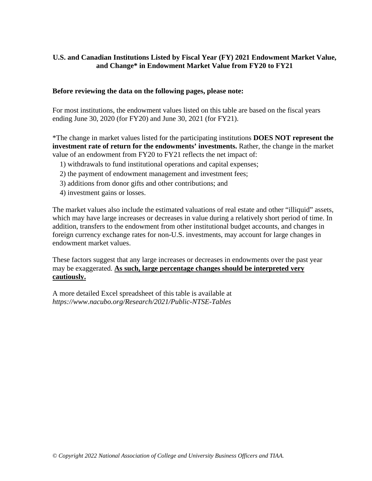#### **Before reviewing the data on the following pages, please note:**

For most institutions, the endowment values listed on this table are based on the fiscal years ending June 30, 2020 (for FY20) and June 30, 2021 (for FY21).

\*The change in market values listed for the participating institutions **DOES NOT represent the investment rate of return for the endowments' investments.** Rather, the change in the market value of an endowment from FY20 to FY21 reflects the net impact of:

- 1) withdrawals to fund institutional operations and capital expenses;
- 2) the payment of endowment management and investment fees;
- 3) additions from donor gifts and other contributions; and
- 4) investment gains or losses.

The market values also include the estimated valuations of real estate and other "illiquid" assets, which may have large increases or decreases in value during a relatively short period of time. In addition, transfers to the endowment from other institutional budget accounts, and changes in foreign currency exchange rates for non-U.S. investments, may account for large changes in endowment market values.

These factors suggest that any large increases or decreases in endowments over the past year may be exaggerated. **As such, large percentage changes should be interpreted very cautiously.**

A more detailed Excel spreadsheet of this table is available at *https://www.nacubo.org/Research/2021/Public-NTSE-Tables*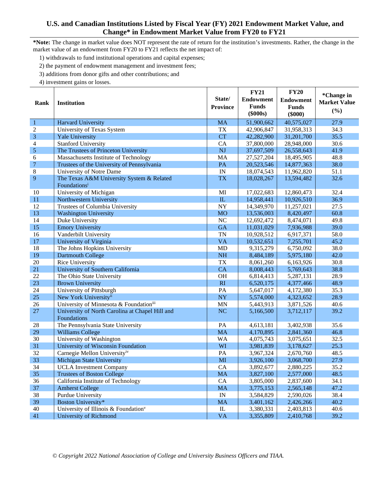**\*Note:** The change in market value does NOT represent the rate of return for the institution's investments. Rather, the change in the market value of an endowment from FY20 to FY21 reflects the net impact of:

- 1) withdrawals to fund institutional operations and capital expenses;
- 2) the payment of endowment management and investment fees;
- 3) additions from donor gifts and other contributions; and

|                 |                                                  |                          | <b>FY21</b>      | <b>FY20</b>      | *Change in          |
|-----------------|--------------------------------------------------|--------------------------|------------------|------------------|---------------------|
| Rank            |                                                  | State/                   | <b>Endowment</b> | <b>Endowment</b> | <b>Market Value</b> |
|                 | <b>Institution</b>                               | <b>Province</b>          | <b>Funds</b>     | <b>Funds</b>     |                     |
|                 |                                                  |                          | $(\$000s)$       | $(\$000)$        | (%)                 |
| $\mathbf{1}$    | <b>Harvard University</b>                        | <b>MA</b>                | 51,900,662       | 40,575,027       | 27.9                |
| $\overline{2}$  | University of Texas System                       | <b>TX</b>                | 42,906,847       | 31,958,313       | 34.3                |
| $\overline{3}$  | <b>Yale University</b>                           | <b>CT</b>                | 42,282,900       | 31,201,700       | 35.5                |
| $\overline{4}$  | <b>Stanford University</b>                       | CA                       | 37,800,000       | 28,948,000       | 30.6                |
| 5               | The Trustees of Princeton University             | NJ                       | 37,697,509       | 26,558,643       | 41.9                |
| 6               | Massachusetts Institute of Technology            | MA                       | 27,527,204       | 18,495,905       | 48.8                |
| $\overline{7}$  | Trustees of the University of Pennsylvania       | PA                       | 20,523,546       | 14,877,363       | 38.0                |
| 8               | University of Notre Dame                         | IN                       | 18,074,543       | 11,962,820       | 51.1                |
| 9               | The Texas A&M University System & Related        | <b>TX</b>                | 18,028,267       | 13,594,482       | 32.6                |
|                 | Foundations <sup>i</sup>                         |                          |                  |                  |                     |
| 10              | University of Michigan                           | MI                       | 17,022,683       | 12,860,473       | 32.4                |
| 11              | Northwestern University                          | IL                       | 14,958,441       | 10,926,510       | 36.9                |
| 12              | Trustees of Columbia University                  | NY                       | 14,349,970       | 11,257,021       | 27.5                |
| 13              | <b>Washington University</b>                     | <b>MO</b>                | 13,536,003       | 8,420,497        | 60.8                |
| 14              | Duke University                                  | NC                       | 12,692,472       | 8,474,071        | 49.8                |
| 15              | <b>Emory University</b>                          | <b>GA</b>                | 11,031,029       | 7,936,988        | 39.0                |
| 16              | Vanderbilt University                            | <b>TN</b>                | 10,928,512       | 6,917,371        | 58.0                |
| 17              | University of Virginia                           | <b>VA</b>                | 10,532,651       | 7,255,701        | 45.2                |
| 18              | The Johns Hopkins University                     | <b>MD</b>                | 9,315,279        | 6,750,092        | 38.0                |
| 19              | Dartmouth College                                | <b>NH</b>                | 8,484,189        | 5,975,180        | 42.0                |
| 20              | Rice University                                  | <b>TX</b>                | 8,061,260        | 6,163,926        | 30.8                |
| 21              | University of Southern California                | CA                       | 8,008,443        | 5,769,643        | 38.8                |
| 22              | The Ohio State University                        | OH                       | 6,814,413        | 5,287,131        | 28.9                |
| 23              | <b>Brown University</b>                          | RI                       | 6,520,175        | 4,377,466        | 48.9                |
| 24              | University of Pittsburgh                         | PA                       | 5,647,017        | 4,172,380        | 35.3                |
| 25              | New York Universityii                            | <b>NY</b>                | 5,574,000        | 4,323,652        | 28.9                |
| 26              | University of Minnesota & Foundationiii          | <b>MN</b>                | 5,443,913        | 3,871,526        | 40.6                |
| 27              | University of North Carolina at Chapel Hill and  | NC                       | 5,166,500        | 3,712,117        | 39.2                |
|                 | Foundations                                      |                          |                  |                  |                     |
| 28              | The Pennsylvania State University                | PA                       | 4,613,181        | 3,402,938        | 35.6                |
| 29              | <b>Williams College</b>                          | <b>MA</b>                | 4,170,895        | 2,841,360        | 46.8                |
| 30              | University of Washington                         | <b>WA</b>                | 4,075,743        | 3,075,651        | 32.5                |
| 31              | University of Wisconsin Foundation               | WI                       | 3,981,839        | 3,178,627        | 25.3                |
| $\overline{32}$ | Carnegie Mellon University <sup>iv</sup>         | PA                       | 3,967,324        | 2,670,760        | 48.5                |
| 33              | <b>Michigan State University</b>                 | MI                       | 3,926,100        | 3,068,700        | 27.9                |
| 34              | <b>UCLA</b> Investment Company                   | CA                       | 3,892,677        | 2,880,225        | 35.2                |
| 35              | <b>Trustees of Boston College</b>                | <b>MA</b>                | 3,827,100        | 2,577,000        | 48.5                |
| 36              | California Institute of Technology               | CA                       | 3,805,000        | 2,837,600        | 34.1                |
| 37              | <b>Amherst College</b>                           | <b>MA</b>                | 3,775,153        | 2,565,148        | 47.2                |
| 38              | Purdue University                                | $\ensuremath{\text{IN}}$ | 3,584,829        | 2,590,026        | 38.4                |
| 39              | Boston University*                               | <b>MA</b>                | 3,401,162        | 2,426,266        | 40.2                |
| 40              | University of Illinois & Foundation <sup>v</sup> | $\rm IL$                 | 3,380,331        | 2,403,813        | 40.6                |
| 41              | University of Richmond                           | <b>VA</b>                | 3,355,809        | 2,410,768        | 39.2                |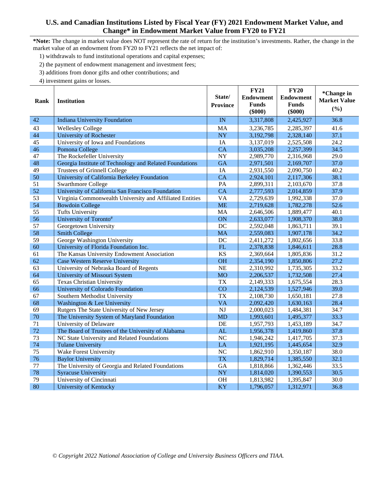**\*Note:** The change in market value does NOT represent the rate of return for the institution's investments. Rather, the change in the market value of an endowment from FY20 to FY21 reflects the net impact of:

- 1) withdrawals to fund institutional operations and capital expenses;
- 2) the payment of endowment management and investment fees;
- 3) additions from donor gifts and other contributions; and
- 4) investment gains or losses.

| Rank | <b>Institution</b>                                       | State/<br><b>Province</b> | <b>FY21</b><br><b>Endowment</b><br><b>Funds</b><br>$(\$000)$ | <b>FY20</b><br><b>Endowment</b><br><b>Funds</b><br>$(\$000)$ | *Change in<br><b>Market Value</b><br>(%) |
|------|----------------------------------------------------------|---------------------------|--------------------------------------------------------------|--------------------------------------------------------------|------------------------------------------|
| 42   | <b>Indiana University Foundation</b>                     | IN                        | 3,317,808                                                    | 2,425,927                                                    | 36.8                                     |
| 43   | <b>Wellesley College</b>                                 | MA                        | 3,236,785                                                    | 2,285,397                                                    | 41.6                                     |
| 44   | <b>University of Rochester</b>                           | <b>NY</b>                 | 3,192,798                                                    | 2,328,140                                                    | 37.1                                     |
| 45   | University of Iowa and Foundations                       | IA                        | 3,137,019                                                    | 2,525,508                                                    | 24.2                                     |
| 46   | Pomona College                                           | CA                        | 3,035,208                                                    | 2,257,399                                                    | 34.5                                     |
| 47   | The Rockefeller University                               | <b>NY</b>                 | 2,989,770                                                    | 2,316,968                                                    | 29.0                                     |
| 48   | Georgia Institute of Technology and Related Foundations  | <b>GA</b>                 | 2,971,501                                                    | 2,169,707                                                    | 37.0                                     |
| 49   | Trustees of Grinnell College                             | IA                        | 2,931,550                                                    | 2,090,750                                                    | 40.2                                     |
| 50   | University of California Berkeley Foundation             | <b>CA</b>                 | 2,924,101                                                    | 2,117,306                                                    | 38.1                                     |
| 51   | <b>Swarthmore College</b>                                | PA                        | 2,899,311                                                    | 2,103,670                                                    | 37.8                                     |
| 52   | University of California San Francisco Foundation        | <b>CA</b>                 | 2,777,593                                                    | 2,014,859                                                    | 37.9                                     |
| 53   | Virginia Commonwealth University and Affiliated Entities | <b>VA</b>                 | 2,729,639                                                    | 1,992,338                                                    | 37.0                                     |
| 54   | <b>Bowdoin College</b>                                   | <b>ME</b>                 | 2,719,628                                                    | 1,782,278                                                    | 52.6                                     |
| 55   | <b>Tufts University</b>                                  | MA                        | 2,646,506                                                    | 1,889,477                                                    | 40.1                                     |
| 56   | University of Toronto#                                   | ON                        | 2,633,077                                                    | 1,908,370                                                    | 38.0                                     |
| 57   | Georgetown University                                    | DC                        | 2,592,048                                                    | 1,863,711                                                    | 39.1                                     |
| 58   | <b>Smith College</b>                                     | <b>MA</b>                 | 2,559,083                                                    | 1,907,178                                                    | 34.2                                     |
| 59   | George Washington University                             | DC                        | 2,411,272                                                    | 1,802,656                                                    | 33.8                                     |
| 60   | University of Florida Foundation Inc.                    | FL                        | 2,378,838                                                    | 1,846,611                                                    | 28.8                                     |
| 61   | The Kansas University Endowment Association              | <b>KS</b>                 | 2,369,664                                                    | 1,805,836                                                    | 31.2                                     |
| 62   | <b>Case Western Reserve University</b>                   | <b>OH</b>                 | 2,354,190                                                    | 1,850,806                                                    | 27.2                                     |
| 63   | University of Nebraska Board of Regents                  | <b>NE</b>                 | 2,310,992                                                    | 1,735,305                                                    | 33.2                                     |
| 64   | University of Missouri System                            | <b>MO</b>                 | 2,206,537                                                    | 1,732,508                                                    | 27.4                                     |
| 65   | <b>Texas Christian University</b>                        | <b>TX</b>                 | 2,149,333                                                    | 1,675,554                                                    | 28.3                                     |
| 66   | University of Colorado Foundation                        | CO                        | 2,124,539                                                    | 1,527,946                                                    | 39.0                                     |
| 67   | Southern Methodist University                            | <b>TX</b>                 | 2,108,730                                                    | 1,650,181                                                    | 27.8                                     |
| 68   | Washington & Lee University                              | <b>VA</b>                 | 2,092,420                                                    | 1,630,163                                                    | 28.4                                     |
| 69   | Rutgers The State University of New Jersey               | <b>NJ</b>                 | 2,000,023                                                    | 1,484,381                                                    | 34.7                                     |
| 70   | The University System of Maryland Foundation             | <b>MD</b>                 | 1,993,601                                                    | 1,495,377                                                    | 33.3                                     |
| 71   | University of Delaware                                   | DE                        | 1,957,793                                                    | 1,453,189                                                    | 34.7                                     |
| 72   | The Board of Trustees of the University of Alabama       | AL                        | 1,956,378                                                    | 1,419,860                                                    | 37.8                                     |
| 73   | NC State University and Related Foundations              | $\overline{\text{NC}}$    | 1,946,242                                                    | 1,417,705                                                    | 37.3                                     |
| 74   | <b>Tulane University</b>                                 | LA                        | 1,921,195                                                    | 1,445,654                                                    | 32.9                                     |
| 75   | Wake Forest University                                   | N <sub>C</sub>            | 1,862,910                                                    | 1,350,187                                                    | 38.0                                     |
| 76   | <b>Baylor University</b>                                 | <b>TX</b>                 | 1,829,714                                                    | 1,385,550                                                    | 32.1                                     |
| 77   | The University of Georgia and Related Foundations        | GA                        | 1,818,866                                                    | 1,362,446                                                    | 33.5                                     |
| 78   | <b>Syracuse University</b>                               | <b>NY</b>                 | 1,814,020                                                    | 1,390,553                                                    | 30.5                                     |
| 79   | University of Cincinnati                                 | OH                        | 1,813,982                                                    | 1,395,847                                                    | 30.0                                     |
| 80   | University of Kentucky                                   | KY                        | 1,796,057                                                    | 1,312,971                                                    | 36.8                                     |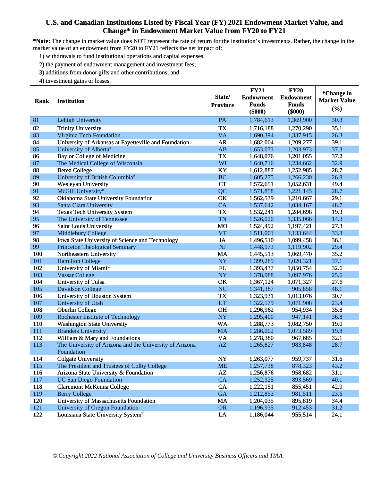\*Note: The change in market value does NOT represent the rate of return for the institution's investments. Rather, the change in the market value of an endowment from FY20 to FY21 reflects the net impact of:

- 1) withdrawals to fund institutional operations and capital expenses;
- 2) the payment of endowment management and investment fees;
- 3) additions from donor gifts and other contributions; and
- 4) investment gains or losses.

| Rank       | <b>Institution</b>                                             | State/<br><b>Province</b> | <b>FY21</b><br><b>Endowment</b><br><b>Funds</b><br>$(\$000)$ | <b>FY20</b><br><b>Endowment</b><br><b>Funds</b><br>$(\$000)$ | *Change in<br><b>Market Value</b><br>(%) |
|------------|----------------------------------------------------------------|---------------------------|--------------------------------------------------------------|--------------------------------------------------------------|------------------------------------------|
| 81         | Lehigh University                                              | PA                        | 1,784,613                                                    | 1,369,900                                                    | 30.3                                     |
| 82         | <b>Trinity University</b>                                      | <b>TX</b>                 | 1,716,188                                                    | 1,270,290                                                    | 35.1                                     |
| 83         | Virginia Tech Foundation                                       | <b>VA</b>                 | 1,690,394                                                    | 1,337,915                                                    | 26.3                                     |
| 84         | University of Arkansas at Fayetteville and Foundation          | <b>AR</b>                 | 1,682,004                                                    | 1,209,277                                                    | 39.1                                     |
| 85         | University of Alberta#                                         | AB                        | 1,653,073                                                    | 1,203,973                                                    | 37.3                                     |
| 86         | <b>Baylor College of Medicine</b>                              | <b>TX</b>                 | 1,648,076                                                    | 1,201,055                                                    | 37.2                                     |
| 87         | The Medical College of Wisconsin                               | WI                        | 1,640,716                                                    | 1,234,662                                                    | 32.9                                     |
| 88         | <b>Berea College</b>                                           | KY                        | 1,612,887                                                    | 1,252,985                                                    | 28.7                                     |
| 89         | University of British Columbia#                                | <b>BC</b>                 | 1,605,275                                                    | 1,266,230                                                    | 26.8                                     |
| 90         | <b>Wesleyan University</b>                                     | <b>CT</b>                 | 1,572,651                                                    | 1,052,631                                                    | 49.4                                     |
| 91         | McGill University#                                             | QC                        | 1,571,858                                                    | 1,221,145                                                    | 28.7                                     |
| 92         | Oklahoma State University Foundation                           | OK                        | 1,562,539                                                    | 1,210,667                                                    | 29.1                                     |
| 93         | Santa Clara University                                         | CA                        | 1,537,642                                                    | 1,034,167                                                    | 48.7                                     |
| 94         | <b>Texas Tech University System</b>                            | <b>TX</b>                 | 1,532,241                                                    | 1,284,698                                                    | 19.3                                     |
| 95         | The University of Tennessee                                    | <b>TN</b>                 | 1,526,020                                                    | 1,335,066                                                    | 14.3                                     |
| 96         | Saint Louis University                                         | <b>MO</b>                 | 1,524,492                                                    | 1,197,421                                                    | 27.3                                     |
| 97         | Middlebury College                                             | <b>VT</b>                 | 1,511,001                                                    | 1,133,644                                                    | 33.3                                     |
| 98         | Iowa State University of Science and Technology                | IA                        | 1,496,510                                                    | 1,099,458                                                    | 36.1                                     |
| 99         | <b>Princeton Theological Seminary</b>                          | <b>NJ</b>                 | 1,448,973                                                    | 1,119,902                                                    | 29.4                                     |
| 100        | Northeastern University                                        | <b>MA</b>                 | 1,445,513                                                    | 1,069,470                                                    | 35.2                                     |
| 101        | <b>Hamilton College</b>                                        | <b>NY</b>                 | 1,399,289                                                    | 1,020,321                                                    | 37.1                                     |
| 102        | University of Miamivi                                          | FL                        | 1,393,437                                                    | 1,050,754                                                    | 32.6                                     |
| 103<br>104 | <b>Vassar College</b>                                          | <b>NY</b>                 | 1,378,988                                                    | 1,097,976                                                    | 25.6                                     |
|            | University of Tulsa                                            | OK<br>NC                  | 1,367,124                                                    | 1,071,327                                                    | 27.6<br>48.1                             |
| 105<br>106 | <b>Davidson College</b><br>University of Houston System        | <b>TX</b>                 | 1,341,387<br>1,323,931                                       | 905,858<br>1,013,076                                         | 30.7                                     |
| 107        | University of Utah                                             | <b>UT</b>                 | 1,322,579                                                    | 1,071,908                                                    | 23.4                                     |
| 108        | <b>Oberlin College</b>                                         | <b>OH</b>                 | 1,296,962                                                    | 954,934                                                      | 35.8                                     |
| 109        | Rochester Institute of Technology                              | <b>NY</b>                 | 1,295,400                                                    | 947,141                                                      | 36.8                                     |
| 110        | <b>Washington State University</b>                             | <b>WA</b>                 | 1,288,773                                                    | 1,082,750                                                    | 19.0                                     |
| 111        | <b>Brandeis University</b>                                     | <b>MA</b>                 | 1,286,002                                                    | 1,073,589                                                    | 19.8                                     |
| 112        | William & Mary and Foundations                                 | <b>VA</b>                 | 1,278,380                                                    | 967,685                                                      | 32.1                                     |
| 113        | The University of Arizona and the University of Arizona        | $\mathbf{A}\mathbf{Z}$    | 1,265,827                                                    | 983,848                                                      | 28.7                                     |
|            | Foundation                                                     |                           |                                                              |                                                              |                                          |
| 114        | <b>Colgate University</b>                                      | <b>NY</b>                 | 1,263,077                                                    | 959,737                                                      | 31.6                                     |
| 115        | The President and Trustees of Colby College                    | <b>ME</b>                 | 1,257,738                                                    | 878,323                                                      | 43.2                                     |
| 116        | Arizona State University & Foundation                          | AZ                        | 1,256,876                                                    | 958,682                                                      | 31.1                                     |
| 117        | <b>UC San Diego Foundation</b>                                 | CA                        | 1,252,325                                                    | 893,569                                                      | 40.1<br>42.9                             |
| 118<br>119 | <b>Claremont McKenna College</b>                               | CA<br><b>GA</b>           | 1,222,151<br>1,212,853                                       | 855,451                                                      | 23.6                                     |
| 120        | <b>Berry College</b><br>University of Massachusetts Foundation | MA                        |                                                              | 981,511<br>895,819                                           | 34.4                                     |
| 121        | University of Oregon Foundation                                | <b>OR</b>                 | 1,204,035<br>1,196,935                                       | 912,453                                                      | 31.2                                     |
| 122        | Louisiana State University Systemvii                           | ${\rm LA}$                | 1,186,044                                                    | 955,514                                                      | 24.1                                     |
|            |                                                                |                           |                                                              |                                                              |                                          |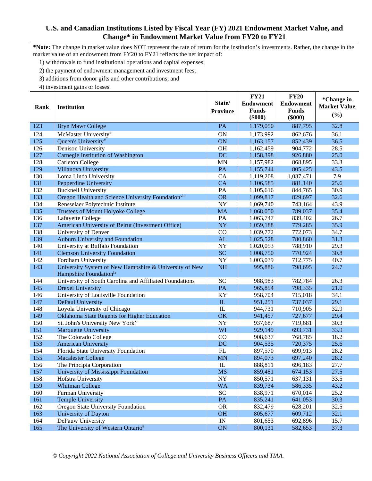**\*Note:** The change in market value does NOT represent the rate of return for the institution's investments. Rather, the change in the market value of an endowment from FY20 to FY21 reflects the net impact of:

1) withdrawals to fund institutional operations and capital expenses;

2) the payment of endowment management and investment fees;

3) additions from donor gifts and other contributions; and

4) investment gains or losses.

| <b>Market Value</b><br>Rank<br><b>Institution</b><br><b>Funds</b><br><b>Funds</b><br><b>Province</b><br>(%)<br>$(\$000)$<br>$(\$000)$<br>123<br><b>Bryn Mawr College</b><br>PA<br>32.8<br>1,179,050<br>887,795<br>ON<br>124<br>McMaster University#<br>36.1<br>1,173,992<br>862,676<br>125<br>Queen's University#<br>ON<br>1,163,157<br>36.5<br>852,439<br>126<br>Denison University<br><b>OH</b><br>904,772<br>28.5<br>1,162,459<br>127<br>Carnegie Institution of Washington<br><b>DC</b><br>25.0<br>1,158,398<br>926,880<br>128<br><b>Carleton College</b><br><b>MN</b><br>33.3<br>1,157,982<br>868,895<br>129<br>Villanova University<br>43.5<br>PA<br>1,155,744<br>805,425<br>CA<br>130<br>7.9<br>Loma Linda University<br>1,119,208<br>1,037,471<br>131<br>Pepperdine University<br><b>CA</b><br>1,106,585<br>25.6<br>881,140<br>132<br>PA<br>30.9<br><b>Bucknell University</b><br>1,105,616<br>844,765<br>133<br>Oregon Health and Science University Foundationviii<br><b>OR</b><br>32.6<br>1,099,817<br>829,697<br>134<br><b>NY</b><br>43.9<br>Rensselaer Polytechnic Institute<br>1,069,740<br>743,164<br>135<br>35.4<br><b>Trustees of Mount Holyoke College</b><br><b>MA</b><br>1,068,050<br>789,037<br>136<br>PA<br>Lafayette College<br>839,402<br>26.7<br>1,063,747<br>137<br>American University of Beirut (Investment Office)<br><b>NY</b><br>35.9<br>1,059,188<br>779,285<br>138<br>CO<br>University of Denver<br>772,073<br>34.7<br>1,039,772<br>139<br>Auburn University and Foundation<br>AL<br>31.3<br>1,025,528<br>780,860<br>140<br>University at Buffalo Foundation<br>NY<br>29.3<br>1,020,053<br>788,910<br><b>SC</b><br>141<br>30.8<br><b>Clemson University Foundation</b><br>1,008,750<br>770,924<br>142<br>Fordham University<br>NY<br>1,003,039<br>712,775<br>40.7<br>143<br>University System of New Hampshire & University of New<br><b>NH</b><br>24.7<br>995,886<br>798,695<br>Hampshire Foundationix<br>University of South Carolina and Affiliated Foundations<br><b>SC</b><br>144<br>988,983<br>782,784<br>26.3<br>145<br>PA<br>21.0<br><b>Drexel University</b><br>965,854<br>798,335<br>KY<br>146<br>University of Louisville Foundation<br>958,704<br>715,018<br>34.1<br>147<br>29.1<br>DePaul University<br>$\rm IL$<br>951,251<br>737,037<br>148<br>Loyola University of Chicago<br>${\rm IL}$<br>32.9<br>944,731<br>710,905<br>149<br>Oklahoma State Regents for Higher Education<br>OK<br>29.4<br>941,457<br>727,677<br>150<br>NY<br>St. John's University New York <sup>x</sup><br>719,681<br>30.3<br>937,687<br>151<br>Marquette University<br>WI<br>929,149<br>33.9<br>693,731<br>152<br>The Colorado College<br>CO<br>908,637<br>768,785<br>18.2<br>153<br><b>DC</b><br>25.6<br><b>American University</b><br>904,535<br>720,375<br>154<br>FL<br>897,570<br>28.2<br>Florida State University Foundation<br>699,913<br>155<br><b>MN</b><br>28.2<br>894,073<br>697,240<br><b>Macalester College</b><br>${\rm IL}$<br>27.7<br>156<br>888,811<br>696,183<br>The Principia Corporation<br>University of Mississippi Foundation<br><b>MS</b><br>859,481<br>674,153<br>27.5<br>157<br>158<br>33.5<br>Hofstra University<br><b>NY</b><br>850,571<br>637,131<br>159<br>43.2<br><b>Whitman College</b><br><b>WA</b><br>839,734<br>586,335<br>SC<br>160<br>Furman University<br>25.2<br>838,971<br>670,014<br>161<br><b>Temple University</b><br>PA<br>835,241<br>641,053<br>30.3<br>Oregon State University Foundation<br><b>OR</b><br>162<br>832,479<br>628,201<br>32.5<br>163<br>University of Dayton<br><b>OH</b><br>32.1<br>805,677<br>609,712<br>164<br>DePauw University<br>IN<br>692,896<br>15.7<br>801,653 |     |                                    |        | <b>FY21</b>      | <b>FY20</b>      | *Change in |
|-----------------------------------------------------------------------------------------------------------------------------------------------------------------------------------------------------------------------------------------------------------------------------------------------------------------------------------------------------------------------------------------------------------------------------------------------------------------------------------------------------------------------------------------------------------------------------------------------------------------------------------------------------------------------------------------------------------------------------------------------------------------------------------------------------------------------------------------------------------------------------------------------------------------------------------------------------------------------------------------------------------------------------------------------------------------------------------------------------------------------------------------------------------------------------------------------------------------------------------------------------------------------------------------------------------------------------------------------------------------------------------------------------------------------------------------------------------------------------------------------------------------------------------------------------------------------------------------------------------------------------------------------------------------------------------------------------------------------------------------------------------------------------------------------------------------------------------------------------------------------------------------------------------------------------------------------------------------------------------------------------------------------------------------------------------------------------------------------------------------------------------------------------------------------------------------------------------------------------------------------------------------------------------------------------------------------------------------------------------------------------------------------------------------------------------------------------------------------------------------------------------------------------------------------------------------------------------------------------------------------------------------------------------------------------------------------------------------------------------------------------------------------------------------------------------------------------------------------------------------------------------------------------------------------------------------------------------------------------------------------------------------------------------------------------------------------------------------------------------------------------------------------------------------------------------------------------------------------------------------------------------------------------------------------------------------------------------------------------------------------------------------------------------------------------------------------------------------------------------------------------------------------------------------------------------------------------------------------------------------------------------------------------------|-----|------------------------------------|--------|------------------|------------------|------------|
|                                                                                                                                                                                                                                                                                                                                                                                                                                                                                                                                                                                                                                                                                                                                                                                                                                                                                                                                                                                                                                                                                                                                                                                                                                                                                                                                                                                                                                                                                                                                                                                                                                                                                                                                                                                                                                                                                                                                                                                                                                                                                                                                                                                                                                                                                                                                                                                                                                                                                                                                                                                                                                                                                                                                                                                                                                                                                                                                                                                                                                                                                                                                                                                                                                                                                                                                                                                                                                                                                                                                                                                                                                                           |     |                                    | State/ | <b>Endowment</b> | <b>Endowment</b> |            |
|                                                                                                                                                                                                                                                                                                                                                                                                                                                                                                                                                                                                                                                                                                                                                                                                                                                                                                                                                                                                                                                                                                                                                                                                                                                                                                                                                                                                                                                                                                                                                                                                                                                                                                                                                                                                                                                                                                                                                                                                                                                                                                                                                                                                                                                                                                                                                                                                                                                                                                                                                                                                                                                                                                                                                                                                                                                                                                                                                                                                                                                                                                                                                                                                                                                                                                                                                                                                                                                                                                                                                                                                                                                           |     |                                    |        |                  |                  |            |
|                                                                                                                                                                                                                                                                                                                                                                                                                                                                                                                                                                                                                                                                                                                                                                                                                                                                                                                                                                                                                                                                                                                                                                                                                                                                                                                                                                                                                                                                                                                                                                                                                                                                                                                                                                                                                                                                                                                                                                                                                                                                                                                                                                                                                                                                                                                                                                                                                                                                                                                                                                                                                                                                                                                                                                                                                                                                                                                                                                                                                                                                                                                                                                                                                                                                                                                                                                                                                                                                                                                                                                                                                                                           |     |                                    |        |                  |                  |            |
|                                                                                                                                                                                                                                                                                                                                                                                                                                                                                                                                                                                                                                                                                                                                                                                                                                                                                                                                                                                                                                                                                                                                                                                                                                                                                                                                                                                                                                                                                                                                                                                                                                                                                                                                                                                                                                                                                                                                                                                                                                                                                                                                                                                                                                                                                                                                                                                                                                                                                                                                                                                                                                                                                                                                                                                                                                                                                                                                                                                                                                                                                                                                                                                                                                                                                                                                                                                                                                                                                                                                                                                                                                                           |     |                                    |        |                  |                  |            |
|                                                                                                                                                                                                                                                                                                                                                                                                                                                                                                                                                                                                                                                                                                                                                                                                                                                                                                                                                                                                                                                                                                                                                                                                                                                                                                                                                                                                                                                                                                                                                                                                                                                                                                                                                                                                                                                                                                                                                                                                                                                                                                                                                                                                                                                                                                                                                                                                                                                                                                                                                                                                                                                                                                                                                                                                                                                                                                                                                                                                                                                                                                                                                                                                                                                                                                                                                                                                                                                                                                                                                                                                                                                           |     |                                    |        |                  |                  |            |
|                                                                                                                                                                                                                                                                                                                                                                                                                                                                                                                                                                                                                                                                                                                                                                                                                                                                                                                                                                                                                                                                                                                                                                                                                                                                                                                                                                                                                                                                                                                                                                                                                                                                                                                                                                                                                                                                                                                                                                                                                                                                                                                                                                                                                                                                                                                                                                                                                                                                                                                                                                                                                                                                                                                                                                                                                                                                                                                                                                                                                                                                                                                                                                                                                                                                                                                                                                                                                                                                                                                                                                                                                                                           |     |                                    |        |                  |                  |            |
|                                                                                                                                                                                                                                                                                                                                                                                                                                                                                                                                                                                                                                                                                                                                                                                                                                                                                                                                                                                                                                                                                                                                                                                                                                                                                                                                                                                                                                                                                                                                                                                                                                                                                                                                                                                                                                                                                                                                                                                                                                                                                                                                                                                                                                                                                                                                                                                                                                                                                                                                                                                                                                                                                                                                                                                                                                                                                                                                                                                                                                                                                                                                                                                                                                                                                                                                                                                                                                                                                                                                                                                                                                                           |     |                                    |        |                  |                  |            |
|                                                                                                                                                                                                                                                                                                                                                                                                                                                                                                                                                                                                                                                                                                                                                                                                                                                                                                                                                                                                                                                                                                                                                                                                                                                                                                                                                                                                                                                                                                                                                                                                                                                                                                                                                                                                                                                                                                                                                                                                                                                                                                                                                                                                                                                                                                                                                                                                                                                                                                                                                                                                                                                                                                                                                                                                                                                                                                                                                                                                                                                                                                                                                                                                                                                                                                                                                                                                                                                                                                                                                                                                                                                           |     |                                    |        |                  |                  |            |
|                                                                                                                                                                                                                                                                                                                                                                                                                                                                                                                                                                                                                                                                                                                                                                                                                                                                                                                                                                                                                                                                                                                                                                                                                                                                                                                                                                                                                                                                                                                                                                                                                                                                                                                                                                                                                                                                                                                                                                                                                                                                                                                                                                                                                                                                                                                                                                                                                                                                                                                                                                                                                                                                                                                                                                                                                                                                                                                                                                                                                                                                                                                                                                                                                                                                                                                                                                                                                                                                                                                                                                                                                                                           |     |                                    |        |                  |                  |            |
|                                                                                                                                                                                                                                                                                                                                                                                                                                                                                                                                                                                                                                                                                                                                                                                                                                                                                                                                                                                                                                                                                                                                                                                                                                                                                                                                                                                                                                                                                                                                                                                                                                                                                                                                                                                                                                                                                                                                                                                                                                                                                                                                                                                                                                                                                                                                                                                                                                                                                                                                                                                                                                                                                                                                                                                                                                                                                                                                                                                                                                                                                                                                                                                                                                                                                                                                                                                                                                                                                                                                                                                                                                                           |     |                                    |        |                  |                  |            |
|                                                                                                                                                                                                                                                                                                                                                                                                                                                                                                                                                                                                                                                                                                                                                                                                                                                                                                                                                                                                                                                                                                                                                                                                                                                                                                                                                                                                                                                                                                                                                                                                                                                                                                                                                                                                                                                                                                                                                                                                                                                                                                                                                                                                                                                                                                                                                                                                                                                                                                                                                                                                                                                                                                                                                                                                                                                                                                                                                                                                                                                                                                                                                                                                                                                                                                                                                                                                                                                                                                                                                                                                                                                           |     |                                    |        |                  |                  |            |
|                                                                                                                                                                                                                                                                                                                                                                                                                                                                                                                                                                                                                                                                                                                                                                                                                                                                                                                                                                                                                                                                                                                                                                                                                                                                                                                                                                                                                                                                                                                                                                                                                                                                                                                                                                                                                                                                                                                                                                                                                                                                                                                                                                                                                                                                                                                                                                                                                                                                                                                                                                                                                                                                                                                                                                                                                                                                                                                                                                                                                                                                                                                                                                                                                                                                                                                                                                                                                                                                                                                                                                                                                                                           |     |                                    |        |                  |                  |            |
|                                                                                                                                                                                                                                                                                                                                                                                                                                                                                                                                                                                                                                                                                                                                                                                                                                                                                                                                                                                                                                                                                                                                                                                                                                                                                                                                                                                                                                                                                                                                                                                                                                                                                                                                                                                                                                                                                                                                                                                                                                                                                                                                                                                                                                                                                                                                                                                                                                                                                                                                                                                                                                                                                                                                                                                                                                                                                                                                                                                                                                                                                                                                                                                                                                                                                                                                                                                                                                                                                                                                                                                                                                                           |     |                                    |        |                  |                  |            |
|                                                                                                                                                                                                                                                                                                                                                                                                                                                                                                                                                                                                                                                                                                                                                                                                                                                                                                                                                                                                                                                                                                                                                                                                                                                                                                                                                                                                                                                                                                                                                                                                                                                                                                                                                                                                                                                                                                                                                                                                                                                                                                                                                                                                                                                                                                                                                                                                                                                                                                                                                                                                                                                                                                                                                                                                                                                                                                                                                                                                                                                                                                                                                                                                                                                                                                                                                                                                                                                                                                                                                                                                                                                           |     |                                    |        |                  |                  |            |
|                                                                                                                                                                                                                                                                                                                                                                                                                                                                                                                                                                                                                                                                                                                                                                                                                                                                                                                                                                                                                                                                                                                                                                                                                                                                                                                                                                                                                                                                                                                                                                                                                                                                                                                                                                                                                                                                                                                                                                                                                                                                                                                                                                                                                                                                                                                                                                                                                                                                                                                                                                                                                                                                                                                                                                                                                                                                                                                                                                                                                                                                                                                                                                                                                                                                                                                                                                                                                                                                                                                                                                                                                                                           |     |                                    |        |                  |                  |            |
|                                                                                                                                                                                                                                                                                                                                                                                                                                                                                                                                                                                                                                                                                                                                                                                                                                                                                                                                                                                                                                                                                                                                                                                                                                                                                                                                                                                                                                                                                                                                                                                                                                                                                                                                                                                                                                                                                                                                                                                                                                                                                                                                                                                                                                                                                                                                                                                                                                                                                                                                                                                                                                                                                                                                                                                                                                                                                                                                                                                                                                                                                                                                                                                                                                                                                                                                                                                                                                                                                                                                                                                                                                                           |     |                                    |        |                  |                  |            |
|                                                                                                                                                                                                                                                                                                                                                                                                                                                                                                                                                                                                                                                                                                                                                                                                                                                                                                                                                                                                                                                                                                                                                                                                                                                                                                                                                                                                                                                                                                                                                                                                                                                                                                                                                                                                                                                                                                                                                                                                                                                                                                                                                                                                                                                                                                                                                                                                                                                                                                                                                                                                                                                                                                                                                                                                                                                                                                                                                                                                                                                                                                                                                                                                                                                                                                                                                                                                                                                                                                                                                                                                                                                           |     |                                    |        |                  |                  |            |
|                                                                                                                                                                                                                                                                                                                                                                                                                                                                                                                                                                                                                                                                                                                                                                                                                                                                                                                                                                                                                                                                                                                                                                                                                                                                                                                                                                                                                                                                                                                                                                                                                                                                                                                                                                                                                                                                                                                                                                                                                                                                                                                                                                                                                                                                                                                                                                                                                                                                                                                                                                                                                                                                                                                                                                                                                                                                                                                                                                                                                                                                                                                                                                                                                                                                                                                                                                                                                                                                                                                                                                                                                                                           |     |                                    |        |                  |                  |            |
|                                                                                                                                                                                                                                                                                                                                                                                                                                                                                                                                                                                                                                                                                                                                                                                                                                                                                                                                                                                                                                                                                                                                                                                                                                                                                                                                                                                                                                                                                                                                                                                                                                                                                                                                                                                                                                                                                                                                                                                                                                                                                                                                                                                                                                                                                                                                                                                                                                                                                                                                                                                                                                                                                                                                                                                                                                                                                                                                                                                                                                                                                                                                                                                                                                                                                                                                                                                                                                                                                                                                                                                                                                                           |     |                                    |        |                  |                  |            |
|                                                                                                                                                                                                                                                                                                                                                                                                                                                                                                                                                                                                                                                                                                                                                                                                                                                                                                                                                                                                                                                                                                                                                                                                                                                                                                                                                                                                                                                                                                                                                                                                                                                                                                                                                                                                                                                                                                                                                                                                                                                                                                                                                                                                                                                                                                                                                                                                                                                                                                                                                                                                                                                                                                                                                                                                                                                                                                                                                                                                                                                                                                                                                                                                                                                                                                                                                                                                                                                                                                                                                                                                                                                           |     |                                    |        |                  |                  |            |
|                                                                                                                                                                                                                                                                                                                                                                                                                                                                                                                                                                                                                                                                                                                                                                                                                                                                                                                                                                                                                                                                                                                                                                                                                                                                                                                                                                                                                                                                                                                                                                                                                                                                                                                                                                                                                                                                                                                                                                                                                                                                                                                                                                                                                                                                                                                                                                                                                                                                                                                                                                                                                                                                                                                                                                                                                                                                                                                                                                                                                                                                                                                                                                                                                                                                                                                                                                                                                                                                                                                                                                                                                                                           |     |                                    |        |                  |                  |            |
|                                                                                                                                                                                                                                                                                                                                                                                                                                                                                                                                                                                                                                                                                                                                                                                                                                                                                                                                                                                                                                                                                                                                                                                                                                                                                                                                                                                                                                                                                                                                                                                                                                                                                                                                                                                                                                                                                                                                                                                                                                                                                                                                                                                                                                                                                                                                                                                                                                                                                                                                                                                                                                                                                                                                                                                                                                                                                                                                                                                                                                                                                                                                                                                                                                                                                                                                                                                                                                                                                                                                                                                                                                                           |     |                                    |        |                  |                  |            |
|                                                                                                                                                                                                                                                                                                                                                                                                                                                                                                                                                                                                                                                                                                                                                                                                                                                                                                                                                                                                                                                                                                                                                                                                                                                                                                                                                                                                                                                                                                                                                                                                                                                                                                                                                                                                                                                                                                                                                                                                                                                                                                                                                                                                                                                                                                                                                                                                                                                                                                                                                                                                                                                                                                                                                                                                                                                                                                                                                                                                                                                                                                                                                                                                                                                                                                                                                                                                                                                                                                                                                                                                                                                           |     |                                    |        |                  |                  |            |
|                                                                                                                                                                                                                                                                                                                                                                                                                                                                                                                                                                                                                                                                                                                                                                                                                                                                                                                                                                                                                                                                                                                                                                                                                                                                                                                                                                                                                                                                                                                                                                                                                                                                                                                                                                                                                                                                                                                                                                                                                                                                                                                                                                                                                                                                                                                                                                                                                                                                                                                                                                                                                                                                                                                                                                                                                                                                                                                                                                                                                                                                                                                                                                                                                                                                                                                                                                                                                                                                                                                                                                                                                                                           |     |                                    |        |                  |                  |            |
|                                                                                                                                                                                                                                                                                                                                                                                                                                                                                                                                                                                                                                                                                                                                                                                                                                                                                                                                                                                                                                                                                                                                                                                                                                                                                                                                                                                                                                                                                                                                                                                                                                                                                                                                                                                                                                                                                                                                                                                                                                                                                                                                                                                                                                                                                                                                                                                                                                                                                                                                                                                                                                                                                                                                                                                                                                                                                                                                                                                                                                                                                                                                                                                                                                                                                                                                                                                                                                                                                                                                                                                                                                                           |     |                                    |        |                  |                  |            |
|                                                                                                                                                                                                                                                                                                                                                                                                                                                                                                                                                                                                                                                                                                                                                                                                                                                                                                                                                                                                                                                                                                                                                                                                                                                                                                                                                                                                                                                                                                                                                                                                                                                                                                                                                                                                                                                                                                                                                                                                                                                                                                                                                                                                                                                                                                                                                                                                                                                                                                                                                                                                                                                                                                                                                                                                                                                                                                                                                                                                                                                                                                                                                                                                                                                                                                                                                                                                                                                                                                                                                                                                                                                           |     |                                    |        |                  |                  |            |
|                                                                                                                                                                                                                                                                                                                                                                                                                                                                                                                                                                                                                                                                                                                                                                                                                                                                                                                                                                                                                                                                                                                                                                                                                                                                                                                                                                                                                                                                                                                                                                                                                                                                                                                                                                                                                                                                                                                                                                                                                                                                                                                                                                                                                                                                                                                                                                                                                                                                                                                                                                                                                                                                                                                                                                                                                                                                                                                                                                                                                                                                                                                                                                                                                                                                                                                                                                                                                                                                                                                                                                                                                                                           |     |                                    |        |                  |                  |            |
|                                                                                                                                                                                                                                                                                                                                                                                                                                                                                                                                                                                                                                                                                                                                                                                                                                                                                                                                                                                                                                                                                                                                                                                                                                                                                                                                                                                                                                                                                                                                                                                                                                                                                                                                                                                                                                                                                                                                                                                                                                                                                                                                                                                                                                                                                                                                                                                                                                                                                                                                                                                                                                                                                                                                                                                                                                                                                                                                                                                                                                                                                                                                                                                                                                                                                                                                                                                                                                                                                                                                                                                                                                                           |     |                                    |        |                  |                  |            |
|                                                                                                                                                                                                                                                                                                                                                                                                                                                                                                                                                                                                                                                                                                                                                                                                                                                                                                                                                                                                                                                                                                                                                                                                                                                                                                                                                                                                                                                                                                                                                                                                                                                                                                                                                                                                                                                                                                                                                                                                                                                                                                                                                                                                                                                                                                                                                                                                                                                                                                                                                                                                                                                                                                                                                                                                                                                                                                                                                                                                                                                                                                                                                                                                                                                                                                                                                                                                                                                                                                                                                                                                                                                           |     |                                    |        |                  |                  |            |
|                                                                                                                                                                                                                                                                                                                                                                                                                                                                                                                                                                                                                                                                                                                                                                                                                                                                                                                                                                                                                                                                                                                                                                                                                                                                                                                                                                                                                                                                                                                                                                                                                                                                                                                                                                                                                                                                                                                                                                                                                                                                                                                                                                                                                                                                                                                                                                                                                                                                                                                                                                                                                                                                                                                                                                                                                                                                                                                                                                                                                                                                                                                                                                                                                                                                                                                                                                                                                                                                                                                                                                                                                                                           |     |                                    |        |                  |                  |            |
|                                                                                                                                                                                                                                                                                                                                                                                                                                                                                                                                                                                                                                                                                                                                                                                                                                                                                                                                                                                                                                                                                                                                                                                                                                                                                                                                                                                                                                                                                                                                                                                                                                                                                                                                                                                                                                                                                                                                                                                                                                                                                                                                                                                                                                                                                                                                                                                                                                                                                                                                                                                                                                                                                                                                                                                                                                                                                                                                                                                                                                                                                                                                                                                                                                                                                                                                                                                                                                                                                                                                                                                                                                                           |     |                                    |        |                  |                  |            |
|                                                                                                                                                                                                                                                                                                                                                                                                                                                                                                                                                                                                                                                                                                                                                                                                                                                                                                                                                                                                                                                                                                                                                                                                                                                                                                                                                                                                                                                                                                                                                                                                                                                                                                                                                                                                                                                                                                                                                                                                                                                                                                                                                                                                                                                                                                                                                                                                                                                                                                                                                                                                                                                                                                                                                                                                                                                                                                                                                                                                                                                                                                                                                                                                                                                                                                                                                                                                                                                                                                                                                                                                                                                           |     |                                    |        |                  |                  |            |
|                                                                                                                                                                                                                                                                                                                                                                                                                                                                                                                                                                                                                                                                                                                                                                                                                                                                                                                                                                                                                                                                                                                                                                                                                                                                                                                                                                                                                                                                                                                                                                                                                                                                                                                                                                                                                                                                                                                                                                                                                                                                                                                                                                                                                                                                                                                                                                                                                                                                                                                                                                                                                                                                                                                                                                                                                                                                                                                                                                                                                                                                                                                                                                                                                                                                                                                                                                                                                                                                                                                                                                                                                                                           |     |                                    |        |                  |                  |            |
|                                                                                                                                                                                                                                                                                                                                                                                                                                                                                                                                                                                                                                                                                                                                                                                                                                                                                                                                                                                                                                                                                                                                                                                                                                                                                                                                                                                                                                                                                                                                                                                                                                                                                                                                                                                                                                                                                                                                                                                                                                                                                                                                                                                                                                                                                                                                                                                                                                                                                                                                                                                                                                                                                                                                                                                                                                                                                                                                                                                                                                                                                                                                                                                                                                                                                                                                                                                                                                                                                                                                                                                                                                                           |     |                                    |        |                  |                  |            |
|                                                                                                                                                                                                                                                                                                                                                                                                                                                                                                                                                                                                                                                                                                                                                                                                                                                                                                                                                                                                                                                                                                                                                                                                                                                                                                                                                                                                                                                                                                                                                                                                                                                                                                                                                                                                                                                                                                                                                                                                                                                                                                                                                                                                                                                                                                                                                                                                                                                                                                                                                                                                                                                                                                                                                                                                                                                                                                                                                                                                                                                                                                                                                                                                                                                                                                                                                                                                                                                                                                                                                                                                                                                           |     |                                    |        |                  |                  |            |
|                                                                                                                                                                                                                                                                                                                                                                                                                                                                                                                                                                                                                                                                                                                                                                                                                                                                                                                                                                                                                                                                                                                                                                                                                                                                                                                                                                                                                                                                                                                                                                                                                                                                                                                                                                                                                                                                                                                                                                                                                                                                                                                                                                                                                                                                                                                                                                                                                                                                                                                                                                                                                                                                                                                                                                                                                                                                                                                                                                                                                                                                                                                                                                                                                                                                                                                                                                                                                                                                                                                                                                                                                                                           |     |                                    |        |                  |                  |            |
|                                                                                                                                                                                                                                                                                                                                                                                                                                                                                                                                                                                                                                                                                                                                                                                                                                                                                                                                                                                                                                                                                                                                                                                                                                                                                                                                                                                                                                                                                                                                                                                                                                                                                                                                                                                                                                                                                                                                                                                                                                                                                                                                                                                                                                                                                                                                                                                                                                                                                                                                                                                                                                                                                                                                                                                                                                                                                                                                                                                                                                                                                                                                                                                                                                                                                                                                                                                                                                                                                                                                                                                                                                                           |     |                                    |        |                  |                  |            |
|                                                                                                                                                                                                                                                                                                                                                                                                                                                                                                                                                                                                                                                                                                                                                                                                                                                                                                                                                                                                                                                                                                                                                                                                                                                                                                                                                                                                                                                                                                                                                                                                                                                                                                                                                                                                                                                                                                                                                                                                                                                                                                                                                                                                                                                                                                                                                                                                                                                                                                                                                                                                                                                                                                                                                                                                                                                                                                                                                                                                                                                                                                                                                                                                                                                                                                                                                                                                                                                                                                                                                                                                                                                           |     |                                    |        |                  |                  |            |
|                                                                                                                                                                                                                                                                                                                                                                                                                                                                                                                                                                                                                                                                                                                                                                                                                                                                                                                                                                                                                                                                                                                                                                                                                                                                                                                                                                                                                                                                                                                                                                                                                                                                                                                                                                                                                                                                                                                                                                                                                                                                                                                                                                                                                                                                                                                                                                                                                                                                                                                                                                                                                                                                                                                                                                                                                                                                                                                                                                                                                                                                                                                                                                                                                                                                                                                                                                                                                                                                                                                                                                                                                                                           |     |                                    |        |                  |                  |            |
|                                                                                                                                                                                                                                                                                                                                                                                                                                                                                                                                                                                                                                                                                                                                                                                                                                                                                                                                                                                                                                                                                                                                                                                                                                                                                                                                                                                                                                                                                                                                                                                                                                                                                                                                                                                                                                                                                                                                                                                                                                                                                                                                                                                                                                                                                                                                                                                                                                                                                                                                                                                                                                                                                                                                                                                                                                                                                                                                                                                                                                                                                                                                                                                                                                                                                                                                                                                                                                                                                                                                                                                                                                                           |     |                                    |        |                  |                  |            |
|                                                                                                                                                                                                                                                                                                                                                                                                                                                                                                                                                                                                                                                                                                                                                                                                                                                                                                                                                                                                                                                                                                                                                                                                                                                                                                                                                                                                                                                                                                                                                                                                                                                                                                                                                                                                                                                                                                                                                                                                                                                                                                                                                                                                                                                                                                                                                                                                                                                                                                                                                                                                                                                                                                                                                                                                                                                                                                                                                                                                                                                                                                                                                                                                                                                                                                                                                                                                                                                                                                                                                                                                                                                           |     |                                    |        |                  |                  |            |
|                                                                                                                                                                                                                                                                                                                                                                                                                                                                                                                                                                                                                                                                                                                                                                                                                                                                                                                                                                                                                                                                                                                                                                                                                                                                                                                                                                                                                                                                                                                                                                                                                                                                                                                                                                                                                                                                                                                                                                                                                                                                                                                                                                                                                                                                                                                                                                                                                                                                                                                                                                                                                                                                                                                                                                                                                                                                                                                                                                                                                                                                                                                                                                                                                                                                                                                                                                                                                                                                                                                                                                                                                                                           |     |                                    |        |                  |                  |            |
|                                                                                                                                                                                                                                                                                                                                                                                                                                                                                                                                                                                                                                                                                                                                                                                                                                                                                                                                                                                                                                                                                                                                                                                                                                                                                                                                                                                                                                                                                                                                                                                                                                                                                                                                                                                                                                                                                                                                                                                                                                                                                                                                                                                                                                                                                                                                                                                                                                                                                                                                                                                                                                                                                                                                                                                                                                                                                                                                                                                                                                                                                                                                                                                                                                                                                                                                                                                                                                                                                                                                                                                                                                                           |     |                                    |        |                  |                  |            |
|                                                                                                                                                                                                                                                                                                                                                                                                                                                                                                                                                                                                                                                                                                                                                                                                                                                                                                                                                                                                                                                                                                                                                                                                                                                                                                                                                                                                                                                                                                                                                                                                                                                                                                                                                                                                                                                                                                                                                                                                                                                                                                                                                                                                                                                                                                                                                                                                                                                                                                                                                                                                                                                                                                                                                                                                                                                                                                                                                                                                                                                                                                                                                                                                                                                                                                                                                                                                                                                                                                                                                                                                                                                           |     |                                    |        |                  |                  |            |
|                                                                                                                                                                                                                                                                                                                                                                                                                                                                                                                                                                                                                                                                                                                                                                                                                                                                                                                                                                                                                                                                                                                                                                                                                                                                                                                                                                                                                                                                                                                                                                                                                                                                                                                                                                                                                                                                                                                                                                                                                                                                                                                                                                                                                                                                                                                                                                                                                                                                                                                                                                                                                                                                                                                                                                                                                                                                                                                                                                                                                                                                                                                                                                                                                                                                                                                                                                                                                                                                                                                                                                                                                                                           |     |                                    |        |                  |                  |            |
|                                                                                                                                                                                                                                                                                                                                                                                                                                                                                                                                                                                                                                                                                                                                                                                                                                                                                                                                                                                                                                                                                                                                                                                                                                                                                                                                                                                                                                                                                                                                                                                                                                                                                                                                                                                                                                                                                                                                                                                                                                                                                                                                                                                                                                                                                                                                                                                                                                                                                                                                                                                                                                                                                                                                                                                                                                                                                                                                                                                                                                                                                                                                                                                                                                                                                                                                                                                                                                                                                                                                                                                                                                                           | 165 | The University of Western Ontario# | ON     | 800,131          | 582,653          | 37.3       |

*© Copyright 2022 National Association of College and University Business Officers and TIAA.*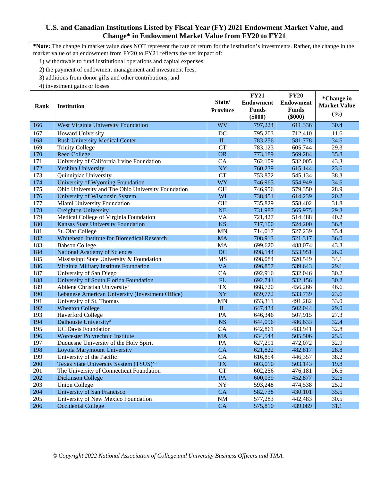**\*Note:** The change in market value does NOT represent the rate of return for the institution's investments. Rather, the change in the market value of an endowment from FY20 to FY21 reflects the net impact of:

1) withdrawals to fund institutional operations and capital expenses;

2) the payment of endowment management and investment fees;

3) additions from donor gifts and other contributions; and

| Rank | <b>Institution</b>                                  | State/<br><b>Province</b> | <b>FY21</b><br><b>Endowment</b><br><b>Funds</b> | <b>FY20</b><br><b>Endowment</b><br><b>Funds</b> | *Change in<br><b>Market Value</b> |
|------|-----------------------------------------------------|---------------------------|-------------------------------------------------|-------------------------------------------------|-----------------------------------|
|      |                                                     |                           | $(\$000)$                                       | $(\$000)$                                       | (%)                               |
| 166  | West Virginia University Foundation                 | <b>WV</b>                 | 797,224                                         | 611,336                                         | 30.4                              |
| 167  | <b>Howard University</b>                            | DC                        | 795,203                                         | 712,410                                         | 11.6                              |
| 168  | <b>Rush University Medical Center</b>               | IL                        | 783,256                                         | 581,778                                         | 34.6                              |
| 169  | <b>Trinity College</b>                              | <b>CT</b>                 | 783,123                                         | 605,744                                         | 29.3                              |
| 170  | <b>Reed College</b>                                 | <b>OR</b>                 | 773,189                                         | 569,284                                         | 35.8                              |
| 171  | University of California Irvine Foundation          | CA                        | 762,109                                         | 532,005                                         | 43.3                              |
| 172  | Yeshiva University                                  | NY                        | 760,239                                         | 615,144                                         | 23.6                              |
| 173  | Quinnipiac University                               | <b>CT</b>                 | 753,872                                         | 545,134                                         | 38.3                              |
| 174  | University of Wyoming Foundation                    | <b>WY</b>                 | 746,965                                         | 554,949                                         | 34.6                              |
| 175  | Ohio University and The Ohio University Foundation  | <b>OH</b>                 | 746,956                                         | 579,350                                         | 28.9                              |
| 176  | University of Wisconsin System                      | WI                        | 738,451                                         | 614,239                                         | 20.2                              |
| 177  | Miami University Foundation                         | OH                        | 735,829                                         | 558,402                                         | 31.8                              |
| 178  | Creighton University                                | <b>NE</b>                 | 731,987                                         | 565,975                                         | 29.3                              |
| 179  | Medical College of Virginia Foundation              | <b>VA</b>                 | 721,427                                         | 514,488                                         | 40.2                              |
| 180  | Kansas State University Foundation                  | <b>KS</b>                 | 717,100                                         | 524,200                                         | 36.8                              |
| 181  | St. Olaf College                                    | <b>MN</b>                 | 714,017                                         | 527,239                                         | 35.4                              |
| 182  | Whitehead Institute for Biomedical Research         | <b>MA</b>                 | 708,913                                         | 521,317                                         | 36.0                              |
| 183  | <b>Babson College</b>                               | <b>MA</b>                 | 699,620                                         | 488,074                                         | 43.3                              |
| 184  | National Academy of Sciences                        | DC                        | 698,144                                         | 553,951                                         | 26.0                              |
| 185  | Mississippi State University & Foundation           | <b>MS</b>                 | 698,084                                         | 520,549                                         | 34.1                              |
| 186  | Virginia Military Institute Foundation              | <b>VA</b>                 | 696,857                                         | 539,643                                         | 29.1                              |
| 187  | University of San Diego                             | CA                        | 692,916                                         | 532,046                                         | 30.2                              |
| 188  | University of South Florida Foundation              | FL                        | 692,741                                         | 532,156                                         | 30.2                              |
| 189  | Abilene Christian University <sup>xi</sup>          | <b>TX</b>                 | 668,720                                         | 456,266                                         | 46.6                              |
| 190  | Lebanese American University (Investment Office)    | <b>NY</b>                 | 659,772                                         | 533,739                                         | 23.6                              |
| 191  | University of St. Thomas                            | <b>MN</b>                 | 653,311                                         | 491,282                                         | 33.0                              |
| 192  | <b>Wheaton College</b>                              | IL                        | 647,434                                         | 502,044                                         | 29.0                              |
| 193  | <b>Haverford College</b>                            | PA                        | 646,346                                         | 507,915                                         | 27.3                              |
| 194  | Dalhousie University#                               | <b>NS</b>                 | 644,096                                         | 486,633                                         | 32.4                              |
| 195  | <b>UC Davis Foundation</b>                          | CA                        | 642,861                                         | 483,941                                         | 32.8                              |
| 196  | Worcester Polytechnic Institute                     | <b>MA</b>                 | 634,544                                         | 505,506                                         | 25.5                              |
| 197  | Duquesne University of the Holy Spirit              | PA                        | 627,291                                         | 472,072                                         | 32.9                              |
| 198  | Loyola Marymount University                         | <b>CA</b>                 | 621,822                                         | 482,817                                         | 28.8                              |
| 199  | University of the Pacific                           | CA                        | 616,854                                         | 446,357                                         | 38.2                              |
| 200  | Texas State University System (TSUS) <sup>xii</sup> | <b>TX</b>                 | 603,010                                         | 503,143                                         | 19.8                              |
| 201  | The University of Connecticut Foundation            | <b>CT</b>                 | 602,256                                         | 476,181                                         | 26.5                              |
| 202  | <b>Dickinson College</b>                            | PA                        | 600,039                                         | 452,877                                         | 32.5                              |
| 203  | <b>Union College</b>                                | <b>NY</b>                 | 593,248                                         | 474,538                                         | 25.0                              |
| 204  | University of San Francisco                         | <b>CA</b>                 | 582,738                                         | 430,101                                         | 35.5                              |
| 205  | University of New Mexico Foundation                 | <b>NM</b>                 | 577,283                                         | 442,483                                         | 30.5                              |
| 206  | <b>Occidental College</b>                           | <b>CA</b>                 | 575,810                                         | 439,089                                         | 31.1                              |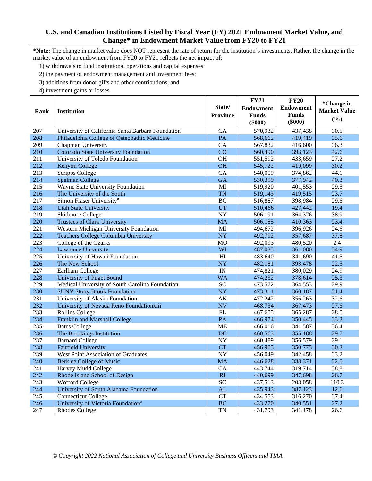**\*Note:** The change in market value does NOT represent the rate of return for the institution's investments. Rather, the change in the market value of an endowment from FY20 to FY21 reflects the net impact of:

1) withdrawals to fund institutional operations and capital expenses;

2) the payment of endowment management and investment fees;

3) additions from donor gifts and other contributions; and

|      |                                                   |                           | <b>FY21</b>      | <b>FY20</b>      | *Change in          |
|------|---------------------------------------------------|---------------------------|------------------|------------------|---------------------|
| Rank | <b>Institution</b>                                | State/<br><b>Province</b> | <b>Endowment</b> | <b>Endowment</b> | <b>Market Value</b> |
|      |                                                   |                           | <b>Funds</b>     | <b>Funds</b>     | (%)                 |
|      |                                                   |                           | $(\$000)$        | $(\$000)$        |                     |
| 207  | University of California Santa Barbara Foundation | CA                        | 570,932          | 437,438          | 30.5                |
| 208  | Philadelphia College of Osteopathic Medicine      | PA                        | 568,662          | 419,419          | 35.6                |
| 209  | Chapman University                                | CA                        | 567,832          | 416,600          | 36.3                |
| 210  | <b>Colorado State University Foundation</b>       | CO                        | 560,490          | 393,123          | 42.6                |
| 211  | University of Toledo Foundation                   | <b>OH</b>                 | 551,592          | 433,659          | 27.2                |
| 212  | Kenyon College                                    | <b>OH</b>                 | 545,722          | 419,099          | 30.2                |
| 213  | <b>Scripps College</b>                            | CA                        | 540,009          | 374,862          | 44.1                |
| 214  | <b>Spelman College</b>                            | <b>GA</b>                 | 530,399          | 377,942          | 40.3                |
| 215  | Wayne State University Foundation                 | MI                        | 519,920          | 401,553          | 29.5                |
| 216  | The University of the South                       | <b>TN</b>                 | 519,143          | 419,515          | 23.7                |
| 217  | Simon Fraser University#                          | <b>BC</b>                 | 516,887          | 398,984          | 29.6                |
| 218  | <b>Utah State University</b>                      | UT                        | 510,466          | 427,442          | 19.4                |
| 219  | Skidmore College                                  | <b>NY</b>                 | 506,191          | 364,376          | 38.9                |
| 220  | <b>Trustees of Clark University</b>               | <b>MA</b>                 | 506,185          | 410,363          | 23.4                |
| 221  | Western Michigan University Foundation            | MI                        | 494,672          | 396,926          | 24.6                |
| 222  | <b>Teachers College Columbia University</b>       | <b>NY</b>                 | 492,792          | 357,687          | 37.8                |
| 223  | College of the Ozarks                             | <b>MO</b>                 | 492,093          | 480,520          | 2.4                 |
| 224  | <b>Lawrence University</b>                        | WI                        | 487,035          | 361,080          | 34.9                |
| 225  | University of Hawaii Foundation                   | H1                        | 483,640          | 341,690          | 41.5                |
| 226  | The New School                                    | <b>NY</b>                 | 482,181          | 393,478          | 22.5                |
| 227  | Earlham College                                   | IN                        | 474,821          | 380,029          | 24.9                |
| 228  | University of Puget Sound                         | <b>WA</b>                 | 474,232          | 378,614          | 25.3                |
| 229  | Medical University of South Carolina Foundation   | <b>SC</b>                 | 473,572          | 364,553          | 29.9                |
| 230  | <b>SUNY Stony Brook Foundation</b>                | <b>NY</b>                 | 473,311          | 360,187          | 31.4                |
| 231  | University of Alaska Foundation                   | AK                        | 472,242          | 356,263          | 32.6                |
| 232  | University of Nevada Reno Foundationxiii          | <b>NV</b>                 | 468,734          | 367,473          | 27.6                |
| 233  | <b>Rollins College</b>                            | FL                        | 467,605          | 365,287          | 28.0                |
| 234  | Franklin and Marshall College                     | PA                        | 466,974          | 350,445          | 33.3                |
| 235  | <b>Bates College</b>                              | <b>ME</b>                 | 466,016          | 341,587          | 36.4                |
| 236  | The Brookings Institution                         | DC                        | 460,563          | 355,188          | 29.7                |
| 237  | <b>Barnard College</b>                            | <b>NY</b>                 | 460,489          | 356,579          | 29.1                |
| 238  | <b>Fairfield University</b>                       | <b>CT</b>                 | 456,905          | 350,775          | 30.3                |
| 239  | West Point Association of Graduates               | <b>NY</b>                 | 456,049          | 342,458          | 33.2                |
| 240  | <b>Berklee College of Music</b>                   | <b>MA</b>                 | 446,628          | 338,371          | 32.0                |
| 241  | Harvey Mudd College                               | CA                        | 443,744          | 319,714          | 38.8                |
| 242  | Rhode Island School of Design                     | RI                        | 440,699          | 347,698          | 26.7                |
| 243  | Wofford College                                   | <b>SC</b>                 | 437,513          | 208,058          | 110.3               |
| 244  | University of South Alabama Foundation            | ${\rm AL}$                | 435,943          | 387,123          | 12.6                |
| 245  | <b>Connecticut College</b>                        | <b>CT</b>                 | 434,553          | 316,270          | 37.4                |
| 246  | University of Victoria Foundation#                | <b>BC</b>                 | 433,270          | 340,551          | 27.2                |
| 247  | <b>Rhodes College</b>                             | <b>TN</b>                 | 431,793          | 341,178          | 26.6                |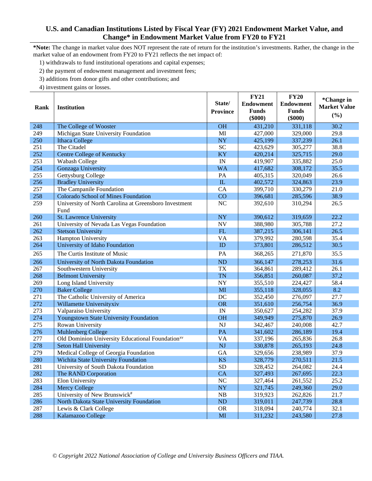**\*Note:** The change in market value does NOT represent the rate of return for the institution's investments. Rather, the change in the market value of an endowment from FY20 to FY21 reflects the net impact of:

1) withdrawals to fund institutional operations and capital expenses;

2) the payment of endowment management and investment fees;

3) additions from donor gifts and other contributions; and

4) investment gains or losses.

|      |                                                              |                        | <b>FY21</b>      | <b>FY20</b>      | *Change in          |
|------|--------------------------------------------------------------|------------------------|------------------|------------------|---------------------|
| Rank | <b>Institution</b>                                           | State/                 | <b>Endowment</b> | <b>Endowment</b> | <b>Market Value</b> |
|      |                                                              | <b>Province</b>        | <b>Funds</b>     | <b>Funds</b>     | (%)                 |
|      |                                                              |                        | $(\$000)$        | $(\$000)$        |                     |
| 248  | The College of Wooster                                       | <b>OH</b>              | 431,210          | 331,118          | 30.2                |
| 249  | Michigan State University Foundation                         | MI                     | 427,000          | 329,000          | 29.8                |
| 250  | <b>Ithaca College</b>                                        | <b>NY</b>              | 425,199          | 337,239          | 26.1                |
| 251  | The Citadel                                                  | <b>SC</b>              | 423,629          | 305,277          | 38.8                |
| 252  | <b>Centre College of Kentucky</b>                            | <b>KY</b>              | 420,214          | 325,715          | 29.0                |
| 253  | Wabash College                                               | IN                     | 419,907          | 335,882          | 25.0                |
| 254  | Gonzaga University                                           | <b>WA</b>              | 417,682          | 308,172          | 35.5                |
| 255  | Gettysburg College                                           | PA                     | 405,315          | 320,049          | 26.6                |
| 256  | <b>Bradley University</b>                                    | ${\rm IL}$             | 402,572          | 324,863          | 23.9                |
| 257  | The Campanile Foundation                                     | CA                     | 399,710          | 330,279          | 21.0                |
| 258  | <b>Colorado School of Mines Foundation</b>                   | CO                     | 396,681          | 285,596          | 38.9                |
| 259  | University of North Carolina at Greensboro Investment        | NC                     | 392,610          | 310,294          | 26.5                |
|      | Fund                                                         |                        |                  |                  |                     |
| 260  | St. Lawrence University                                      | <b>NY</b>              | 390,612          | 319,659          | 22.2                |
| 261  | University of Nevada Las Vegas Foundation                    | <b>NV</b>              | 388,980          | 305,788          | 27.2                |
| 262  | <b>Stetson University</b>                                    | FL                     | 387,215          | 306,141          | 26.5                |
| 263  | Hampton University                                           | VA                     | 379,992          | 280,598          | 35.4                |
| 264  | University of Idaho Foundation                               | ID                     | 373,801          | 286,512          | 30.5                |
| 265  | The Curtis Institute of Music                                | PA                     | 368,265          | 271,870          | 35.5                |
| 266  | University of North Dakota Foundation                        | <b>ND</b>              | 366,147          | 278,253          | 31.6                |
| 267  | Southwestern University                                      | <b>TX</b>              | 364,861          | 289,412          | 26.1                |
| 268  | <b>Belmont University</b>                                    | <b>TN</b>              | 356,851          | 260,087          | 37.2                |
| 269  | Long Island University                                       | NY                     | 355,510          | 224,427          | 58.4                |
| 270  | <b>Baker College</b>                                         | MI                     | 355,118          | 328,055          | 8.2                 |
| 271  | The Catholic University of America                           | DC                     | 352,450          | 276,097          | 27.7                |
| 272  | Willamette Universityxiv                                     | <b>OR</b>              | 351,610          | 256,754          | 36.9                |
| 273  | Valparaiso University                                        | IN                     | 350,627          | 254,282          | 37.9                |
| 274  | Youngstown State University Foundation                       | <b>OH</b>              | 349,949          | 275,870          | 26.9                |
| 275  | Rowan University                                             | <b>NJ</b>              | 342,467          | 240,008          | 42.7                |
| 276  | <b>Muhlenberg College</b>                                    | PA                     | 341,602          | 286,189          | 19.4                |
| 277  | Old Dominion University Educational Foundation <sup>xv</sup> | VA                     | 337,196          | 265,836          | 26.8                |
| 278  | <b>Seton Hall University</b>                                 | <b>NJ</b>              | 330,878          | 265,193          | 24.8                |
| 279  | Medical College of Georgia Foundation                        | GA                     | 329,656          | 238,989          | 37.9                |
| 280  | Wichita State University Foundation                          | <b>KS</b>              | 328,779          | 270,511          | 21.5                |
| 281  | University of South Dakota Foundation                        | ${\rm SD}$             | 328,452          | 264,082          | 24.4                |
| 282  | The RAND Corporation                                         | CA                     | 327,493          | 267,695          | 22.3                |
| 283  | Elon University                                              | NC                     | 327,464          | 261,552          | 25.2                |
| 284  | <b>Mercy College</b>                                         | <b>NY</b>              | 321,745          | 249,360          | 29.0                |
| 285  | University of New Brunswick#                                 | NB                     | 319,923          | 262,826          | 21.7                |
| 286  | North Dakota State University Foundation                     | ND                     | 319,011          | 247,739          | 28.8                |
| 287  | Lewis & Clark College                                        | <b>OR</b>              | 318,094          | 240,774          | 32.1                |
| 288  | Kalamazoo College                                            | $\mathbf{M}\mathbf{I}$ | 311,232          | 243,580          | 27.8                |

*© Copyright 2022 National Association of College and University Business Officers and TIAA.*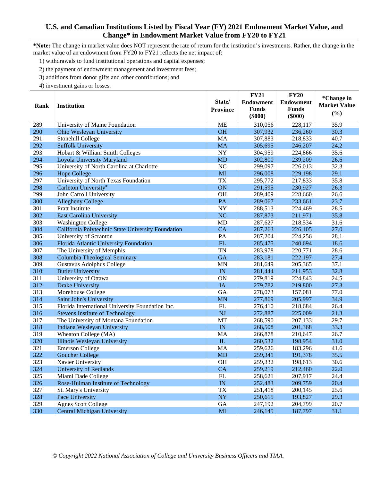**\*Note:** The change in market value does NOT represent the rate of return for the institution's investments. Rather, the change in the market value of an endowment from FY20 to FY21 reflects the net impact of:

1) withdrawals to fund institutional operations and capital expenses;

2) the payment of endowment management and investment fees;

3) additions from donor gifts and other contributions; and

|      |                                                    |                           | <b>FY21</b>      | <b>FY20</b>      | *Change in          |
|------|----------------------------------------------------|---------------------------|------------------|------------------|---------------------|
| Rank | <b>Institution</b>                                 | State/<br><b>Province</b> | <b>Endowment</b> | <b>Endowment</b> | <b>Market Value</b> |
|      |                                                    |                           | <b>Funds</b>     | <b>Funds</b>     | (%)                 |
|      |                                                    |                           | $(\$000)$        | $(\$000)$        |                     |
| 289  | University of Maine Foundation                     | <b>ME</b>                 | 310,056          | 228,117          | 35.9                |
| 290  | Ohio Wesleyan University                           | <b>OH</b>                 | 307,932          | 236,260          | 30.3                |
| 291  | Stonehill College                                  | MA                        | 307,883          | 218,833          | 40.7                |
| 292  | <b>Suffolk University</b>                          | <b>MA</b>                 | 305,695          | 246,207          | 24.2                |
| 293  | Hobart & William Smith Colleges                    | <b>NY</b>                 | 304,959          | 224,866          | 35.6                |
| 294  | Loyola University Maryland                         | <b>MD</b>                 | 302,800          | 239,209          | 26.6                |
| 295  | University of North Carolina at Charlotte          | NC                        | 299,097          | 226,013          | 32.3                |
| 296  | <b>Hope College</b>                                | MI                        | 296,008          | 229,198          | 29.1                |
| 297  | University of North Texas Foundation               | <b>TX</b>                 | 295,772          | 217,833          | 35.8                |
| 298  | Carleton University#                               | ON                        | 291,595          | 230,927          | 26.3                |
| 299  | John Carroll University                            | <b>OH</b>                 | 289,409          | 228,660          | 26.6                |
| 300  | <b>Allegheny College</b>                           | PA                        | 289,067          | 233,661          | 23.7                |
| 301  | Pratt Institute                                    | <b>NY</b>                 | 288,513          | 224,469          | 28.5                |
| 302  | <b>East Carolina University</b>                    | <b>NC</b>                 | 287,873          | 211,971          | 35.8                |
| 303  | <b>Washington College</b>                          | <b>MD</b>                 | 287,627          | 218,534          | 31.6                |
| 304  | California Polytechnic State University Foundation | CA                        | 287,263          | 226,105          | 27.0                |
| 305  | University of Scranton                             | PA                        | 287,204          | 224,256          | 28.1                |
| 306  | Florida Atlantic University Foundation             | FL                        | 285,475          | 240,694          | 18.6                |
| 307  | The University of Memphis                          | <b>TN</b>                 | 283,978          | 220,771          | 28.6                |
| 308  | Columbia Theological Seminary                      | <b>GA</b>                 | 283,181          | 222,197          | 27.4                |
| 309  | Gustavus Adolphus College                          | <b>MN</b>                 | 281,649          | 205,365          | 37.1                |
| 310  | <b>Butler University</b>                           | IN                        | 281,444          | 211,953          | 32.8                |
| 311  | University of Ottawa                               | ON                        | 279,819          | 224,843          | 24.5                |
| 312  | <b>Drake University</b>                            | IA                        | 279,782          | 219,800          | 27.3                |
| 313  | Morehouse College                                  | GA                        | 278,073          | 157,081          | 77.0                |
| 314  | Saint John's University                            | <b>MN</b>                 | 277,869          | 205,997          | 34.9                |
| 315  | Florida International University Foundation Inc.   | FL                        | 276,410          | 218,684          | 26.4                |
| 316  | <b>Stevens Institute of Technology</b>             | <b>NJ</b>                 | 272,887          | 225,009          | 21.3                |
| 317  | The University of Montana Foundation               | MT                        | 268,590          | 207,133          | 29.7                |
| 318  | Indiana Wesleyan University                        | IN                        | 268,508          | 201,368          | 33.3                |
| 319  | Wheaton College (MA)                               | MA                        | 266,878          | 210,647          | 26.7                |
| 320  | Illinois Wesleyan University                       | IL                        | 260,532          | 198,954          | 31.0                |
| 321  | <b>Emerson College</b>                             | MA                        | 259,626          | 183,296          | 41.6                |
| 322  | <b>Goucher College</b>                             | <b>MD</b>                 | 259,341          | 191,378          | 35.5                |
| 323  | Xavier University                                  | OH                        | 259,332          | 198,613          | 30.6                |
| 324  | <b>University of Redlands</b>                      | CA                        | 259,219          | 212,460          | 22.0                |
| 325  | Miami Dade College                                 | FL                        | 258,621          | 207,917          | 24.4                |
| 326  | Rose-Hulman Institute of Technology                | IN                        | 252,483          | 209,759          | 20.4                |
| 327  | St. Mary's University                              | <b>TX</b>                 | 251,418          | 200,145          | 25.6                |
| 328  | Pace University                                    | <b>NY</b>                 | 250,615          | 193,827          | 29.3                |
| 329  | <b>Agnes Scott College</b>                         | GA                        | 247,192          | 204,799          | 20.7                |
| 330  | <b>Central Michigan University</b>                 | MI                        | 246,145          | 187,797          | 31.1                |
|      |                                                    |                           |                  |                  |                     |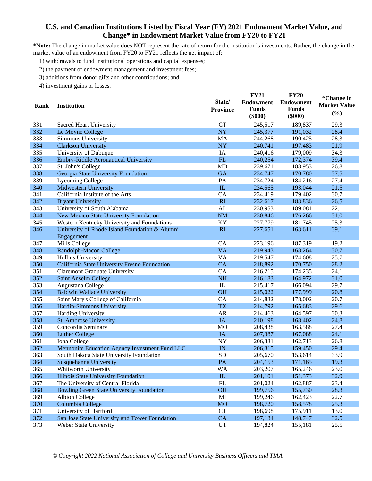**\*Note:** The change in market value does NOT represent the rate of return for the institution's investments. Rather, the change in the market value of an endowment from FY20 to FY21 reflects the net impact of:

1) withdrawals to fund institutional operations and capital expenses;

2) the payment of endowment management and investment fees;

3) additions from donor gifts and other contributions; and

|      |                                                  |                 | <b>FY21</b>      | <b>FY20</b>      | *Change in          |
|------|--------------------------------------------------|-----------------|------------------|------------------|---------------------|
|      |                                                  | State/          | <b>Endowment</b> | <b>Endowment</b> | <b>Market Value</b> |
| Rank | <b>Institution</b>                               | <b>Province</b> | <b>Funds</b>     | <b>Funds</b>     |                     |
|      |                                                  |                 | $(\$000)$        | $(\$000)$        | (%)                 |
| 331  | <b>Sacred Heart University</b>                   | <b>CT</b>       | 245,517          | 189,837          | 29.3                |
| 332  | Le Moyne College                                 | NY              | 245,377          | 191,032          | 28.4                |
| 333  | Simmons University                               | MA              | 244,268          | 190,425          | 28.3                |
| 334  | <b>Clarkson University</b>                       | <b>NY</b>       | 240,741          | 197,483          | 21.9                |
| 335  | University of Dubuque                            | IA              | 240,416          | 179,009          | 34.3                |
| 336  | <b>Embry-Riddle Aeronautical University</b>      | FL              | 240,254          | 172,374          | 39.4                |
| 337  | St. John's College                               | <b>MD</b>       | 239,671          | 188,953          | 26.8                |
| 338  | Georgia State University Foundation              | <b>GA</b>       | 234,747          | 170,780          | 37.5                |
| 339  | <b>Lycoming College</b>                          | PA              | 234,724          | 184,216          | 27.4                |
| 340  | <b>Midwestern University</b>                     | IL              | 234,565          | 193,044          | 21.5                |
| 341  | California Institute of the Arts                 | CA              | 234,419          | 179,402          | 30.7                |
| 342  | <b>Bryant University</b>                         | RI              | 232,617          | 183,836          | 26.5                |
| 343  | University of South Alabama                      | AL              | 230,953          | 189,081          | 22.1                |
| 344  | New Mexico State University Foundation           | <b>NM</b>       | 230,846          | 176,266          | 31.0                |
| 345  | Western Kentucky University and Foundations      | KY              | 227,779          | 181,745          | 25.3                |
| 346  | University of Rhode Island Foundation & Alumni   | RI              | 227,651          | 163,611          | 39.1                |
|      | Engagement                                       |                 |                  |                  |                     |
| 347  | Mills College                                    | CA              | 223,196          | 187,319          | 19.2                |
| 348  | Randolph-Macon College                           | <b>VA</b>       | 219,943          | 168,264          | 30.7                |
| 349  | <b>Hollins University</b>                        | <b>VA</b>       | 219,547          | 174,608          | 25.7                |
| 350  | California State University Fresno Foundation    | CA              | 218,892          | 170,750          | 28.2                |
| 351  | <b>Claremont Graduate University</b>             | CA              | 216,215          | 174,235          | 24.1                |
| 352  | <b>Saint Anselm College</b>                      | <b>NH</b>       | 216,183          | 164,972          | 31.0                |
| 353  | Augustana College                                | $\rm IL$        | 215,417          | 166,094          | 29.7                |
| 354  | <b>Baldwin Wallace University</b>                | <b>OH</b>       | 215,022          | 177,999          | 20.8                |
| 355  | Saint Mary's College of California               | CA              | 214,832          | 178,002          | 20.7                |
| 356  | Hardin-Simmons University                        | <b>TX</b>       | 214,792          | 165,683          | 29.6                |
| 357  | Harding University                               | <b>AR</b>       | 214,463          | 164,597          | 30.3                |
| 358  | St. Ambrose University                           | IA              | 210,198          | 168,402          | 24.8                |
| 359  | Concordia Seminary                               | <b>MO</b>       | 208,438          | 163,588          | 27.4                |
| 360  | <b>Luther College</b>                            | IA              | 207,387          | 167,088          | 24.1                |
| 361  | Iona College                                     | <b>NY</b>       | 206,331          | 162,713          | 26.8                |
| 362  | Mennonite Education Agency Investment Fund LLC   | IN              | 206,315          | 159,450          | 29.4                |
| 363  | South Dakota State University Foundation         | <b>SD</b>       | 205,670          | 153,614          | 33.9                |
| 364  | Susquehanna University                           | PA              | 204,153          | 171,165          | 19.3                |
| 365  | Whitworth University                             | <b>WA</b>       | 203,207          | 165,246          | 23.0                |
| 366  | <b>Illinois State University Foundation</b>      | ${\rm I\!L}$    | 201,101          | 151,373          | 32.9                |
| 367  | The University of Central Florida                | ${\rm FL}$      | 201,024          | 162,887          | 23.4                |
| 368  | <b>Bowling Green State University Foundation</b> | <b>OH</b>       | 199,756          | 155,730          | 28.3                |
| 369  | <b>Albion College</b>                            | MI              | 199,246          | 162,423          | 22.7                |
| 370  | Columbia College                                 | <b>MO</b>       | 198,720          | 158,578          | 25.3                |
| 371  | University of Hartford                           | <b>CT</b>       | 198,698          | 175,911          | 13.0                |
| 372  | San Jose State University and Tower Foundation   | CA              | 197,134          | 148,747          | 32.5                |
| 373  | Weber State University                           | UT              | 194,824          | 155,181          | 25.5                |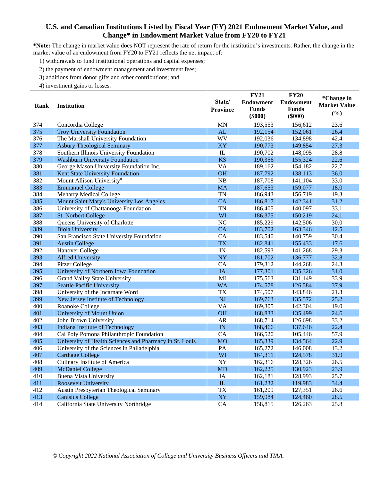**\*Note:** The change in market value does NOT represent the rate of return for the institution's investments. Rather, the change in the market value of an endowment from FY20 to FY21 reflects the net impact of:

1) withdrawals to fund institutional operations and capital expenses;

2) the payment of endowment management and investment fees;

3) additions from donor gifts and other contributions; and

|      |                                                         |                           | <b>FY21</b>  | <b>FY20</b>      | *Change in          |
|------|---------------------------------------------------------|---------------------------|--------------|------------------|---------------------|
| Rank | <b>Institution</b>                                      | State/<br><b>Province</b> | Endowment    | <b>Endowment</b> | <b>Market Value</b> |
|      |                                                         |                           | <b>Funds</b> | <b>Funds</b>     | (%)                 |
|      |                                                         |                           | $(\$000)$    | $(\$000)$        |                     |
| 374  | Concordia College                                       | <b>MN</b>                 | 193,553      | 156,612          | 23.6                |
| 375  | <b>Troy University Foundation</b>                       | AL                        | 192,154      | 152,061          | 26.4                |
| 376  | The Marshall University Foundation                      | WV                        | 192,036      | 134,898          | 42.4                |
| 377  | <b>Asbury Theological Seminary</b>                      | <b>KY</b>                 | 190,773      | 149,854          | 27.3                |
| 378  | Southern Illinois University Foundation                 | IL                        | 190,702      | 148,095          | 28.8                |
| 379  | <b>Washburn University Foundation</b>                   | <b>KS</b>                 | 190,356      | 155,324          | 22.6                |
| 380  | George Mason University Foundation Inc.                 | <b>VA</b>                 | 189,162      | 154,182          | 22.7                |
| 381  | Kent State University Foundation                        | <b>OH</b>                 | 187,792      | 138,113          | 36.0                |
| 382  | Mount Allison University#                               | NB                        | 187,708      | 141,104          | 33.0                |
| 383  | <b>Emmanuel College</b>                                 | <b>MA</b>                 | 187,653      | 159,077          | 18.0                |
| 384  | <b>Meharry Medical College</b>                          | <b>TN</b>                 | 186,943      | 156,719          | 19.3                |
| 385  | Mount Saint Mary's University Los Angeles               | <b>CA</b>                 | 186,817      | 142,341          | 31.2                |
| 386  | University of Chattanooga Foundation                    | <b>TN</b>                 | 186,405      | 140,097          | 33.1                |
| 387  | St. Norbert College                                     | WI                        | 186,375      | 150,219          | 24.1                |
| 388  | Queens University of Charlotte                          | N <sub>C</sub>            | 185,229      | 142,506          | 30.0                |
| 389  | <b>Biola University</b>                                 | CA                        | 183,702      | 163,346          | 12.5                |
| 390  | San Francisco State University Foundation               | CA                        | 183,540      | 140,759          | 30.4                |
| 391  | <b>Austin College</b>                                   | <b>TX</b>                 | 182,841      | 155,433          | 17.6                |
| 392  | Hanover College                                         | IN                        | 182,593      | 141,268          | 29.3                |
| 393  | <b>Alfred University</b>                                | <b>NY</b>                 | 181,702      | 136,777          | 32.8                |
| 394  | Pitzer College                                          | CA                        | 179,312      | 144,268          | 24.3                |
| 395  | University of Northern Iowa Foundation                  | IA                        | 177,301      | 135,326          | 31.0                |
| 396  | Grand Valley State University                           | MI                        | 175,563      | 131,149          | 33.9                |
| 397  | <b>Seattle Pacific University</b>                       | <b>WA</b>                 | 174,578      | 126,584          | 37.9                |
| 398  | University of the Incarnate Word                        | <b>TX</b>                 | 174,507      | 143,846          | 21.3                |
| 399  | New Jersey Institute of Technology                      | <b>NJ</b>                 | 169,763      | 135,572          | 25.2                |
| 400  | Roanoke College                                         | <b>VA</b>                 | 169,305      | 142,304          | 19.0                |
| 401  | <b>University of Mount Union</b>                        | <b>OH</b>                 | 168,833      | 135,499          | 24.6                |
| 402  | John Brown University                                   | <b>AR</b>                 | 168,714      | 126,698          | 33.2                |
| 403  | <b>Indiana Institute of Technology</b>                  | IN                        | 168,466      | 137,646          | 22.4                |
| 404  | Cal Poly Pomona Philanthropic Foundation                | CA                        | 166,520      | 105,446          | 57.9                |
| 405  | University of Health Sciences and Pharmacy in St. Louis | <b>MO</b>                 | 165,339      | 134,564          | 22.9                |
| 406  | University of the Sciences in Philadelphia              | PA                        | 165,272      | 146,008          | 13.2                |
| 407  | <b>Carthage College</b>                                 | WI                        | 164,311      | 124,578          | 31.9                |
| 408  | Culinary Institute of America                           | <b>NY</b>                 | 162,316      | 128,326          | 26.5                |
| 409  | <b>McDaniel College</b>                                 | <b>MD</b>                 | 162,225      | 130,923          | 23.9                |
| 410  | <b>Buena Vista University</b>                           | <b>IA</b>                 | 162,181      | 128,993          | 25.7                |
| 411  | Roosevelt University                                    | ${\rm IL}$                | 161,232      | 119,983          | 34.4                |
| 412  | Austin Presbyterian Theological Seminary                | <b>TX</b>                 | 161,209      | 127,351          | 26.6                |
| 413  | <b>Canisius College</b>                                 | <b>NY</b>                 | 159,984      | 124,460          | 28.5                |
| 414  | California State University Northridge                  | CA                        | 158,815      | 126,263          | 25.8                |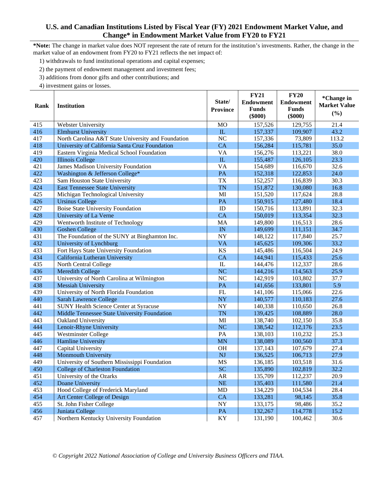**\*Note:** The change in market value does NOT represent the rate of return for the institution's investments. Rather, the change in the market value of an endowment from FY20 to FY21 reflects the net impact of:

1) withdrawals to fund institutional operations and capital expenses;

2) the payment of endowment management and investment fees;

3) additions from donor gifts and other contributions; and

|      |                                                    |                 | <b>FY21</b>      | <b>FY20</b>      | *Change in          |
|------|----------------------------------------------------|-----------------|------------------|------------------|---------------------|
| Rank | <b>Institution</b>                                 | State/          | <b>Endowment</b> | <b>Endowment</b> | <b>Market Value</b> |
|      |                                                    | <b>Province</b> | <b>Funds</b>     | <b>Funds</b>     | (%)                 |
|      |                                                    |                 | $(\$000)$        | $(\$000)$        |                     |
| 415  | Webster University                                 | <b>MO</b>       | 157,526          | 129,755          | 21.4                |
| 416  | <b>Elmhurst University</b>                         | $\mathbf{L}$    | 157,337          | 109,907          | 43.2                |
| 417  | North Carolina A&T State University and Foundation | N <sub>C</sub>  | 157,336          | 73,809           | 113.2               |
| 418  | University of California Santa Cruz Foundation     | CA              | 156,284          | 115,781          | 35.0                |
| 419  | Eastern Virginia Medical School Foundation         | VA              | 156,276          | 113,221          | 38.0                |
| 420  | <b>Illinois College</b>                            | ${\rm IL}$      | 155,487          | 126,105          | 23.3                |
| 421  | James Madison University Foundation                | VA              | 154,689          | 116,670          | 32.6                |
| 422  | Washington & Jefferson College*                    | PA              | 152,318          | 122,853          | 24.0                |
| 423  | Sam Houston State University                       | <b>TX</b>       | 152,257          | 116,839          | 30.3                |
| 424  | <b>East Tennessee State University</b>             | <b>TN</b>       | 151,872          | 130,080          | 16.8                |
| 425  | Michigan Technological University                  | MI              | 151,520          | 117,624          | 28.8                |
| 426  | <b>Ursinus College</b>                             | PA              | 150,915          | 127,480          | 18.4                |
| 427  | <b>Boise State University Foundation</b>           | ID              | 150,716          | 113,891          | 32.3                |
| 428  | University of La Verne                             | CA              | 150,019          | 113,354          | 32.3                |
| 429  | Wentworth Institute of Technology                  | MA              | 149,800          | 116,513          | 28.6                |
| 430  | <b>Goshen College</b>                              | IN              | 149,699          | 111,151          | 34.7                |
| 431  | The Foundation of the SUNY at Binghamton Inc.      | NY              | 148,122          | 117,840          | 25.7                |
| 432  | University of Lynchburg                            | <b>VA</b>       | 145,625          | 109,306          | 33.2                |
| 433  | Fort Hays State University Foundation              | KS              | 145,486          | 116,504          | 24.9                |
| 434  | California Lutheran University                     | CA              | 144,941          | 115,433          | 25.6                |
| 435  | North Central College                              | ${\rm IL}$      | 144,476          | 112,337          | 28.6                |
| 436  | Meredith College                                   | <b>NC</b>       | 144,216          | 114,563          | 25.9                |
| 437  | University of North Carolina at Wilmington         | NC              | 142,919          | 103,802          | 37.7                |
| 438  | <b>Messiah University</b>                          | PA              | 141,656          | 133,801          | 5.9                 |
| 439  | University of North Florida Foundation             | FL              | 141,106          | 115,066          | 22.6                |
| 440  | Sarah Lawrence College                             | <b>NY</b>       | 140,577          | 110,183          | 27.6                |
| 441  | <b>SUNY Health Science Center at Syracuse</b>      | NY              | 140,338          | 110,650          | 26.8                |
| 442  | Middle Tennessee State University Foundation       | <b>TN</b>       | 139,425          | 108,889          | 28.0                |
| 443  | Oakland University                                 | MI              | 138,740          | 102,150          | 35.8                |
| 444  | Lenoir-Rhyne University                            | <b>NC</b>       | 138,542          | 112,176          | 23.5                |
| 445  | <b>Westminster College</b>                         | PA              | 138,103          | 110,232          | 25.3                |
| 446  | Hamline University                                 | <b>MN</b>       | 138,089          | 100,560          | 37.3                |
| 447  | Capital University                                 | <b>OH</b>       | 137,143          | 107,679          | 27.4                |
| 448  | Monmouth University                                | NJ              | 136,525          | 106,713          | 27.9                |
| 449  | University of Southern Mississippi Foundation      | <b>MS</b>       | 136,185          | 103,518          | 31.6                |
| 450  | College of Charleston Foundation                   | <b>SC</b>       | 135,890          | 102,819          | 32.2                |
| 451  | University of the Ozarks                           | <b>AR</b>       | 135,709          | 112,237          | 20.9                |
| 452  | Doane University                                   | NE              | 135,403          | 111,580          | 21.4                |
| 453  | Hood College of Frederick Maryland                 | MD              | 134,229          | 104,534          | 28.4                |
| 454  | Art Center College of Design                       | CA              | 133,281          | 98,145           | 35.8                |
| 455  | St. John Fisher College                            | ${\rm NY}$      | 133,175          | 98,486           | 35.2                |
| 456  | Juniata College                                    | PA              | 132,267          | 114,778          | 15.2                |
| 457  | Northern Kentucky University Foundation            | KY              | 131,190          | 100,462          | 30.6                |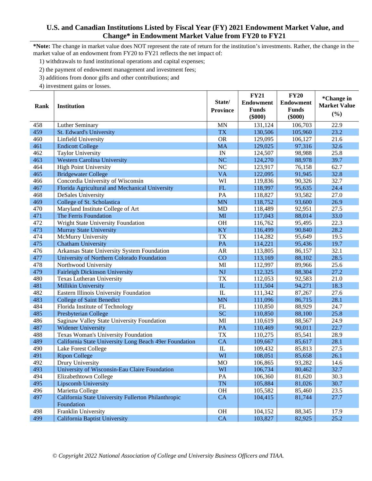**\*Note:** The change in market value does NOT represent the rate of return for the institution's investments. Rather, the change in the market value of an endowment from FY20 to FY21 reflects the net impact of:

1) withdrawals to fund institutional operations and capital expenses;

2) the payment of endowment management and investment fees;

3) additions from donor gifts and other contributions; and

|      |                                                        |                 | <b>FY21</b>      | <b>FY20</b>      | *Change in          |
|------|--------------------------------------------------------|-----------------|------------------|------------------|---------------------|
| Rank | <b>Institution</b>                                     | State/          | <b>Endowment</b> | <b>Endowment</b> | <b>Market Value</b> |
|      |                                                        | <b>Province</b> | <b>Funds</b>     | <b>Funds</b>     | (%)                 |
|      |                                                        |                 | $(\$000)$        | $(\$000)$        |                     |
| 458  | Luther Seminary                                        | <b>MN</b>       | 131,124          | 106,703          | 22.9                |
| 459  | St. Edward's University                                | <b>TX</b>       | 130,506          | 105,960          | 23.2                |
| 460  | Linfield University                                    | <b>OR</b>       | 129,095          | 106,127          | 21.6                |
| 461  | <b>Endicott College</b>                                | <b>MA</b>       | 129,025          | 97,316           | 32.6                |
| 462  | <b>Taylor University</b>                               | IN              | 124,507          | 98,988           | 25.8                |
| 463  | <b>Western Carolina University</b>                     | <b>NC</b>       | 124,270          | 88,978           | 39.7                |
| 464  | <b>High Point University</b>                           | NC              | 123,917          | 76,158           | 62.7                |
| 465  | <b>Bridgewater College</b>                             | <b>VA</b>       | 122,095          | 91,945           | 32.8                |
| 466  | Concordia University of Wisconsin                      | WI              | 119,836          | 90,326           | 32.7                |
| 467  | Florida Agricultural and Mechanical University         | FL              | 118,997          | 95,635           | 24.4                |
| 468  | DeSales University                                     | PA              | 118,827          | 93,582           | 27.0                |
| 469  | College of St. Scholastica                             | <b>MN</b>       | 118,752          | 93,600           | 26.9                |
| 470  | Maryland Institute College of Art                      | <b>MD</b>       | 118,489          | 92,951           | 27.5                |
| 471  | The Ferris Foundation                                  | MI              | 117,043          | 88,014           | 33.0                |
| 472  | Wright State University Foundation                     | OH              | 116,762          | 95,495           | 22.3                |
| 473  | <b>Murray State University</b>                         | KY              | 116,499          | 90,840           | 28.2                |
| 474  | McMurry University                                     | <b>TX</b>       | 114,282          | 95,649           | 19.5                |
| 475  | <b>Chatham University</b>                              | PA              | 114,221          | 95,436           | 19.7                |
| 476  | Arkansas State University System Foundation            | <b>AR</b>       | 113,805          | 86,157           | 32.1                |
| 477  | University of Northern Colorado Foundation             | CO              | 113,169          | 88,102           | 28.5                |
| 478  | Northwood University                                   | MI              | 112,997          | 89,966           | 25.6                |
| 479  | Fairleigh Dickinson University                         | <b>NJ</b>       | 112,325          | 88,304           | 27.2                |
| 480  | Texas Lutheran University                              | <b>TX</b>       | 112,053          | 92,583           | 21.0                |
| 481  | Millikin University                                    | ${\rm IL}$      | 111,504          | 94,271           | 18.3                |
| 482  | Eastern Illinois University Foundation                 | IL              | 111,342          | 87,267           | 27.6                |
| 483  | <b>College of Saint Benedict</b>                       | <b>MN</b>       | 111,096          | 86,715           | 28.1                |
| 484  | Florida Institute of Technology                        | FL              | 110,850          | 88,929           | 24.7                |
| 485  | Presbyterian College                                   | <b>SC</b>       | 110,850          | 88,100           | 25.8                |
| 486  | Saginaw Valley State University Foundation             | MI              | 110,619          | 88,567           | 24.9                |
| 487  | Widener University                                     | PA              | 110,469          | 90,011           | 22.7                |
| 488  | Texas Woman's University Foundation                    | <b>TX</b>       | 110,275          | 85,541           | 28.9                |
| 489  | California State University Long Beach 49er Foundation | <b>CA</b>       | 109,667          | 85,617           | 28.1                |
| 490  | Lake Forest College                                    | IL              | 109,432          | 85,813           | 27.5                |
| 491  | <b>Ripon College</b>                                   | WI              | 108,051          | 85,658           | 26.1                |
| 492  | Drury University                                       | <b>MO</b>       | 106,865          | 93,282           | 14.6                |
| 493  | University of Wisconsin-Eau Claire Foundation          | WI              | 106,734          | 80,462           | 32.7                |
| 494  | Elizabethtown College                                  | PA              | 106,360          | 81,620           | 30.3                |
| 495  | Lipscomb University                                    | <b>TN</b>       | 105,884          | 81,026           | 30.7                |
| 496  | Marietta College                                       | OH              | 105,582          | 85,460           | 23.5                |
| 497  | California State University Fullerton Philanthropic    | CA              | 104,415          | 81,744           | 27.7                |
|      | Foundation                                             |                 |                  |                  |                     |
| 498  | Franklin University                                    | OH              | 104,152          | 88,345           | 17.9                |
| 499  | California Baptist University                          | CA              | 103,827          | 82,925           | 25.2                |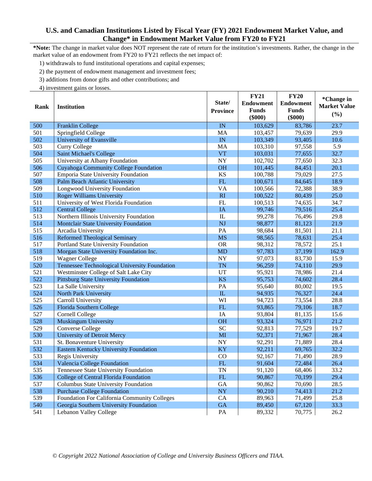**\*Note:** The change in market value does NOT represent the rate of return for the institution's investments. Rather, the change in the market value of an endowment from FY20 to FY21 reflects the net impact of:

1) withdrawals to fund institutional operations and capital expenses;

2) the payment of endowment management and investment fees;

3) additions from donor gifts and other contributions; and

|      |                                               | State/                 | <b>FY21</b><br><b>Endowment</b> | <b>FY20</b><br><b>Endowment</b> | *Change in<br><b>Market Value</b> |
|------|-----------------------------------------------|------------------------|---------------------------------|---------------------------------|-----------------------------------|
| Rank | <b>Institution</b>                            | <b>Province</b>        | <b>Funds</b><br>$(\$000)$       | <b>Funds</b><br>$(\$000)$       | (%)                               |
| 500  | <b>Franklin College</b>                       | $\overline{\text{IN}}$ | 103,629                         | 83,786                          | 23.7                              |
| 501  | Springfield College                           | MA                     | 103,457                         | 79,639                          | 29.9                              |
| 502  | University of Evansville                      | IN                     | 103,349                         | 93,405                          | 10.6                              |
| 503  | <b>Curry College</b>                          | MA                     | 103,310                         | 97,558                          | 5.9                               |
| 504  | <b>Saint Michael's College</b>                | <b>VT</b>              | 103,031                         | 77,655                          | 32.7                              |
| 505  | University at Albany Foundation               | <b>NY</b>              | 102,702                         | 77,650                          | 32.3                              |
| 506  | <b>Cuyahoga Community College Foundation</b>  | <b>OH</b>              | 101,445                         | 84,451                          | 20.1                              |
| 507  | Emporia State University Foundation           | <b>KS</b>              | 100,788                         | 79,029                          | 27.5                              |
| 508  | Palm Beach Atlantic University                | FL                     | 100,671                         | 84,645                          | 18.9                              |
| 509  | Longwood University Foundation                | <b>VA</b>              | 100,566                         | 72,388                          | 38.9                              |
| 510  | <b>Roger Williams University</b>              | RI                     | 100,522                         | 80,439                          | 25.0                              |
| 511  | University of West Florida Foundation         | FL                     | 100,513                         | 74,635                          | 34.7                              |
| 512  | <b>Central College</b>                        | IA                     | 99,746                          | 79,516                          | 25.4                              |
| 513  | Northern Illinois University Foundation       | IL                     | 99,278                          | 76,496                          | 29.8                              |
| 514  | Montclair State University Foundation         | <b>NJ</b>              | 98,877                          | 81,123                          | 21.9                              |
| 515  | Arcadia University                            | PA                     | 98,684                          | 81,501                          | 21.1                              |
| 516  | <b>Reformed Theological Seminary</b>          | <b>MS</b>              | 98,565                          | 78,631                          | 25.4                              |
| 517  | Portland State University Foundation          | <b>OR</b>              | 98,312                          | 78,572                          | 25.1                              |
| 518  | Morgan State University Foundation Inc.       | <b>MD</b>              | 97,783                          | 37,199                          | 162.9                             |
| 519  | <b>Wagner College</b>                         | <b>NY</b>              | 97,073                          | 83,730                          | 15.9                              |
| 520  | Tennessee Technological University Foundation | <b>TN</b>              | 96,259                          | 74,110                          | 29.9                              |
| 521  | Westminster College of Salt Lake City         | UT                     | 95,921                          | 78,986                          | 21.4                              |
| 522  | <b>Pittsburg State University Foundation</b>  | <b>KS</b>              | 95,753                          | 74,602                          | 28.4                              |
| 523  | La Salle University                           | PA                     | 95,640                          | 80,002                          | 19.5                              |
| 524  | North Park University                         | ${\rm IL}$             | 94,935                          | 76,327                          | 24.4                              |
| 525  | Carroll University                            | WI                     | 94,723                          | 73,554                          | 28.8                              |
| 526  | Florida Southern College                      | FL                     | 93,865                          | 79,106                          | 18.7                              |
| 527  | Cornell College                               | IA                     | 93,804                          | 81,135                          | 15.6                              |
| 528  | <b>Muskingum University</b>                   | <b>OH</b>              | 93,324                          | 76,971                          | 21.2                              |
| 529  | <b>Converse College</b>                       | <b>SC</b>              | 92,813                          | 77,529                          | 19.7                              |
| 530  | <b>University of Detroit Mercy</b>            | MI                     | 92,371                          | 71,967                          | 28.4                              |
| 531  | St. Bonaventure University                    | <b>NY</b>              | 92,291                          | 71,889                          | 28.4                              |
| 532  | <b>Eastern Kentucky University Foundation</b> | KY                     | 92,211                          | 69,765                          | 32.2                              |
| 533  | Regis University                              | CO                     | 92,167                          | 71,490                          | 28.9                              |
| 534  | Valencia College Foundation                   | FL                     | 91,604                          | 72,484                          | 26.4                              |
| 535  | Tennessee State University Foundation         | TN                     | 91,120                          | 68,406                          | 33.2                              |
| 536  | College of Central Florida Foundation         | ${\rm FL}$             | 90,867                          | 70,199                          | 29.4                              |
| 537  | Columbus State University Foundation          | <b>GA</b>              | 90,862                          | 70,690                          | 28.5                              |
| 538  | <b>Purchase College Foundation</b>            | <b>NY</b>              | 90,210                          | 74,413                          | 21.2                              |
| 539  | Foundation For California Community Colleges  | CA                     | 89,963                          | 71,499                          | 25.8                              |
| 540  | Georgia Southern University Foundation        | <b>GA</b>              | 89,450                          | 67,120                          | 33.3                              |
| 541  | Lebanon Valley College                        | PA                     | 89,332                          | 70,775                          | 26.2                              |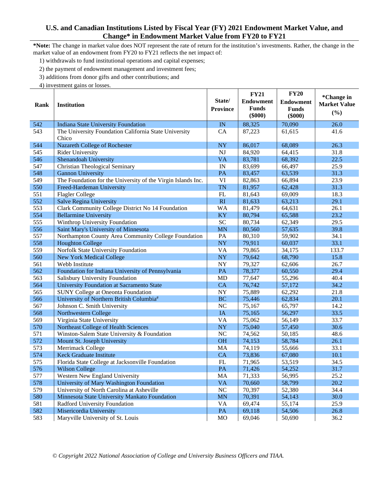**\*Note:** The change in market value does NOT represent the rate of return for the institution's investments. Rather, the change in the market value of an endowment from FY20 to FY21 reflects the net impact of:

1) withdrawals to fund institutional operations and capital expenses;

2) the payment of endowment management and investment fees;

3) additions from donor gifts and other contributions; and

|      |                                                              |                 | <b>FY21</b>      | <b>FY20</b>      | *Change in          |
|------|--------------------------------------------------------------|-----------------|------------------|------------------|---------------------|
| Rank | <b>Institution</b>                                           | State/          | <b>Endowment</b> | <b>Endowment</b> | <b>Market Value</b> |
|      |                                                              | <b>Province</b> | <b>Funds</b>     | <b>Funds</b>     | (%)                 |
|      |                                                              |                 | $(\$000)$        | $(\$000)$        |                     |
| 542  | <b>Indiana State University Foundation</b>                   | IN              | 88,325           | 70,090           | 26.0                |
| 543  | The University Foundation California State University        | CA              | 87,223           | 61,615           | 41.6                |
|      | Chico                                                        |                 |                  |                  |                     |
| 544  | Nazareth College of Rochester                                | <b>NY</b>       | 86,017           | 68,089           | 26.3                |
| 545  | <b>Rider University</b>                                      | <b>NJ</b>       | 84,920           | 64,415           | 31.8                |
| 546  | Shenandoah University                                        | <b>VA</b>       | 83,781           | 68,392           | 22.5                |
| 547  | <b>Christian Theological Seminary</b>                        | IN              | 83,699           | 66,497           | 25.9                |
| 548  | <b>Gannon University</b>                                     | PA              | 83,457           | 63,539           | 31.3                |
| 549  | The Foundation for the University of the Virgin Islands Inc. | VI              | 82,863           | 66,894           | 23.9                |
| 550  | Freed-Hardeman University                                    | <b>TN</b>       | 81,957           | 62,428           | 31.3                |
| 551  | <b>Flagler College</b>                                       | FL              | 81,643           | 69,009           | 18.3                |
| 552  | <b>Salve Regina University</b>                               | RI              | 81,633           | 63,213           | 29.1                |
| 553  | Clark Community College District No 14 Foundation            | <b>WA</b>       | 81,479           | 64,631           | 26.1                |
| 554  | <b>Bellarmine University</b>                                 | KY              | 80,794           | 65,588           | 23.2                |
| 555  | Winthrop University Foundation                               | <b>SC</b>       | 80,734           | 62,349           | 29.5                |
| 556  | Saint Mary's University of Minnesota                         | <b>MN</b>       | 80,560           | 57,635           | 39.8                |
| 557  | Northampton County Area Community College Foundation         | PA              | 80,310           | 59,902           | 34.1                |
| 558  | <b>Houghton College</b>                                      | <b>NY</b>       | 79,911           | 60,037           | 33.1                |
| 559  | Norfolk State University Foundation                          | VA              | 79,865           | 34,175           | 133.7               |
| 560  | <b>New York Medical College</b>                              | NY              | 79,642           | 68,790           | 15.8                |
| 561  | Webb Institute                                               | NY              | 79,327           | 62,606           | 26.7                |
| 562  | Foundation for Indiana University of Pennsylvania            | PA              | 78,377           | 60,550           | 29.4                |
| 563  | Salisbury University Foundation                              | <b>MD</b>       | 77,647           | 55,296           | 40.4                |
| 564  | University Foundation at Sacramento State                    | CA              | 76,742           | 57,172           | 34.2                |
| 565  | SUNY College at Oneonta Foundation                           | <b>NY</b>       | 75,889           | 62,292           | 21.8                |
| 566  | University of Northern British Columbia#                     | <b>BC</b>       | 75,446           | 62,834           | 20.1                |
| 567  | Johnson C. Smith University                                  | NC              | 75,167           | 65,797           | 14.2                |
| 568  | Northwestern College                                         | <b>IA</b>       | 75,165           | 56,297           | 33.5                |
| 569  | Virginia State University                                    | VA              | 75,062           | 56,149           | 33.7                |
| 570  | Northeast College of Health Sciences                         | <b>NY</b>       | 75,040           | 57,450           | 30.6                |
| 571  | Winston-Salem State University & Foundation                  | NC              | 74,562           | 50,185           | 48.6                |
| 572  | Mount St. Joseph University                                  | <b>OH</b>       | 74,153           | 58,784           | 26.1                |
| 573  | Merrimack College                                            | MA              | 74,119           | 55,666           | 33.1                |
| 574  | Keck Graduate Institute                                      | CA              | 73,836           | 67,080           | 10.1                |
| 575  | Florida State College at Jacksonville Foundation             | FL              | 71,965           | 53,519           | 34.5                |
| 576  | <b>Wilson College</b>                                        | PA              | 71,426           | 54,252           | 31.7                |
| 577  | Western New England University                               | MA              | 71,333           | 56,995           | 25.2                |
| 578  | University of Mary Washington Foundation                     | <b>VA</b>       | 70,660           | 58,799           | 20.2                |
| 579  | University of North Carolina at Asheville                    | NC              | 70,397           | 52,380           | 34.4                |
| 580  | Minnesota State University Mankato Foundation                | <b>MN</b>       | 70,391           | 54,143           | 30.0                |
| 581  | Radford University Foundation                                | <b>VA</b>       | 69,474           | 55,174           | 25.9                |
| 582  | Misericordia University                                      | $\mathbf{PA}$   | 69,118           | 54,506           | 26.8                |
| 583  | Maryville University of St. Louis                            | <b>MO</b>       | 69,046           | 50,690           | 36.2                |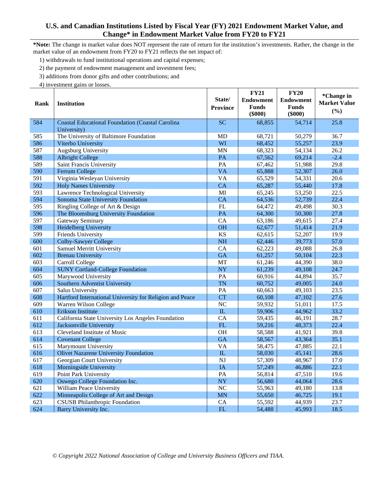**\*Note:** The change in market value does NOT represent the rate of return for the institution's investments. Rather, the change in the market value of an endowment from FY20 to FY21 reflects the net impact of:

1) withdrawals to fund institutional operations and capital expenses;

2) the payment of endowment management and investment fees;

3) additions from donor gifts and other contributions; and

| *Change in<br>State/<br><b>Endowment</b><br><b>Endowment</b><br><b>Market Value</b><br><b>Institution</b><br>Rank<br><b>Funds</b><br><b>Funds</b><br><b>Province</b><br>(%)<br>$($ \$000 $)$<br>$(\$000)$<br><b>SC</b><br>25.8<br>584<br><b>Coastal Educational Foundation (Coastal Carolina</b><br>68,855<br>54,714<br>University)<br>The University of Baltimore Foundation<br>36.7<br>585<br><b>MD</b><br>68,721<br>50,279<br>586<br>Viterbo University<br>WI<br>23.9<br>68,452<br>55,257<br>587<br><b>MN</b><br>Augsburg University<br>68,323<br>54,134<br>26.2<br>588<br>67,562<br>69,214<br>$-2.4$<br><b>Albright College</b><br>PA<br>589<br>Saint Francis University<br>PA<br>67,462<br>51,988<br>29.8<br>590<br>Ferrum College<br><b>VA</b><br>26.0<br>65,888<br>52,307<br><b>VA</b><br>591<br>Virginia Wesleyan University<br>65,529<br>54,331<br>20.6<br>CA<br>592<br><b>Holy Names University</b><br>65,287<br>55,440<br>17.8<br>593<br>Lawrence Technological University<br>MI<br>22.5<br>65,245<br>53,250<br>594<br>Sonoma State University Foundation<br>CA<br>64,536<br>52,739<br>22.4<br>595<br>FL<br>49,498<br>30.3<br>Ringling College of Art & Design<br>64,472<br>27.8<br>596<br>The Bloomsburg University Foundation<br>PA<br>64,300<br>50,300<br>597<br>Gateway Seminary<br>CA<br>49,615<br>27.4<br>63,186<br>598<br><b>Heidelberg University</b><br><b>OH</b><br>21.9<br>62,677<br>51,414<br><b>KS</b><br>599<br>Friends University<br>52,207<br>19.9<br>62,615<br>600<br>NH<br>57.0<br><b>Colby-Sawyer College</b><br>62,446<br>39,773<br>CA<br>601<br><b>Samuel Merritt University</b><br>62,223<br>49,088<br>26.8<br><b>GA</b><br>602<br>22.3<br><b>Brenau University</b><br>61,257<br>50,104<br>603<br>MT<br>44,390<br>38.0<br>Carroll College<br>61,246<br>604<br><b>SUNY Cortland-College Foundation</b><br><b>NY</b><br>49,108<br>24.7<br>61,239 |
|---------------------------------------------------------------------------------------------------------------------------------------------------------------------------------------------------------------------------------------------------------------------------------------------------------------------------------------------------------------------------------------------------------------------------------------------------------------------------------------------------------------------------------------------------------------------------------------------------------------------------------------------------------------------------------------------------------------------------------------------------------------------------------------------------------------------------------------------------------------------------------------------------------------------------------------------------------------------------------------------------------------------------------------------------------------------------------------------------------------------------------------------------------------------------------------------------------------------------------------------------------------------------------------------------------------------------------------------------------------------------------------------------------------------------------------------------------------------------------------------------------------------------------------------------------------------------------------------------------------------------------------------------------------------------------------------------------------------------------------------------------------------------------------------------------------------------------------------------------------------------------|
|                                                                                                                                                                                                                                                                                                                                                                                                                                                                                                                                                                                                                                                                                                                                                                                                                                                                                                                                                                                                                                                                                                                                                                                                                                                                                                                                                                                                                                                                                                                                                                                                                                                                                                                                                                                                                                                                                 |
|                                                                                                                                                                                                                                                                                                                                                                                                                                                                                                                                                                                                                                                                                                                                                                                                                                                                                                                                                                                                                                                                                                                                                                                                                                                                                                                                                                                                                                                                                                                                                                                                                                                                                                                                                                                                                                                                                 |
|                                                                                                                                                                                                                                                                                                                                                                                                                                                                                                                                                                                                                                                                                                                                                                                                                                                                                                                                                                                                                                                                                                                                                                                                                                                                                                                                                                                                                                                                                                                                                                                                                                                                                                                                                                                                                                                                                 |
|                                                                                                                                                                                                                                                                                                                                                                                                                                                                                                                                                                                                                                                                                                                                                                                                                                                                                                                                                                                                                                                                                                                                                                                                                                                                                                                                                                                                                                                                                                                                                                                                                                                                                                                                                                                                                                                                                 |
|                                                                                                                                                                                                                                                                                                                                                                                                                                                                                                                                                                                                                                                                                                                                                                                                                                                                                                                                                                                                                                                                                                                                                                                                                                                                                                                                                                                                                                                                                                                                                                                                                                                                                                                                                                                                                                                                                 |
|                                                                                                                                                                                                                                                                                                                                                                                                                                                                                                                                                                                                                                                                                                                                                                                                                                                                                                                                                                                                                                                                                                                                                                                                                                                                                                                                                                                                                                                                                                                                                                                                                                                                                                                                                                                                                                                                                 |
|                                                                                                                                                                                                                                                                                                                                                                                                                                                                                                                                                                                                                                                                                                                                                                                                                                                                                                                                                                                                                                                                                                                                                                                                                                                                                                                                                                                                                                                                                                                                                                                                                                                                                                                                                                                                                                                                                 |
|                                                                                                                                                                                                                                                                                                                                                                                                                                                                                                                                                                                                                                                                                                                                                                                                                                                                                                                                                                                                                                                                                                                                                                                                                                                                                                                                                                                                                                                                                                                                                                                                                                                                                                                                                                                                                                                                                 |
|                                                                                                                                                                                                                                                                                                                                                                                                                                                                                                                                                                                                                                                                                                                                                                                                                                                                                                                                                                                                                                                                                                                                                                                                                                                                                                                                                                                                                                                                                                                                                                                                                                                                                                                                                                                                                                                                                 |
|                                                                                                                                                                                                                                                                                                                                                                                                                                                                                                                                                                                                                                                                                                                                                                                                                                                                                                                                                                                                                                                                                                                                                                                                                                                                                                                                                                                                                                                                                                                                                                                                                                                                                                                                                                                                                                                                                 |
|                                                                                                                                                                                                                                                                                                                                                                                                                                                                                                                                                                                                                                                                                                                                                                                                                                                                                                                                                                                                                                                                                                                                                                                                                                                                                                                                                                                                                                                                                                                                                                                                                                                                                                                                                                                                                                                                                 |
|                                                                                                                                                                                                                                                                                                                                                                                                                                                                                                                                                                                                                                                                                                                                                                                                                                                                                                                                                                                                                                                                                                                                                                                                                                                                                                                                                                                                                                                                                                                                                                                                                                                                                                                                                                                                                                                                                 |
|                                                                                                                                                                                                                                                                                                                                                                                                                                                                                                                                                                                                                                                                                                                                                                                                                                                                                                                                                                                                                                                                                                                                                                                                                                                                                                                                                                                                                                                                                                                                                                                                                                                                                                                                                                                                                                                                                 |
|                                                                                                                                                                                                                                                                                                                                                                                                                                                                                                                                                                                                                                                                                                                                                                                                                                                                                                                                                                                                                                                                                                                                                                                                                                                                                                                                                                                                                                                                                                                                                                                                                                                                                                                                                                                                                                                                                 |
|                                                                                                                                                                                                                                                                                                                                                                                                                                                                                                                                                                                                                                                                                                                                                                                                                                                                                                                                                                                                                                                                                                                                                                                                                                                                                                                                                                                                                                                                                                                                                                                                                                                                                                                                                                                                                                                                                 |
|                                                                                                                                                                                                                                                                                                                                                                                                                                                                                                                                                                                                                                                                                                                                                                                                                                                                                                                                                                                                                                                                                                                                                                                                                                                                                                                                                                                                                                                                                                                                                                                                                                                                                                                                                                                                                                                                                 |
|                                                                                                                                                                                                                                                                                                                                                                                                                                                                                                                                                                                                                                                                                                                                                                                                                                                                                                                                                                                                                                                                                                                                                                                                                                                                                                                                                                                                                                                                                                                                                                                                                                                                                                                                                                                                                                                                                 |
|                                                                                                                                                                                                                                                                                                                                                                                                                                                                                                                                                                                                                                                                                                                                                                                                                                                                                                                                                                                                                                                                                                                                                                                                                                                                                                                                                                                                                                                                                                                                                                                                                                                                                                                                                                                                                                                                                 |
|                                                                                                                                                                                                                                                                                                                                                                                                                                                                                                                                                                                                                                                                                                                                                                                                                                                                                                                                                                                                                                                                                                                                                                                                                                                                                                                                                                                                                                                                                                                                                                                                                                                                                                                                                                                                                                                                                 |
|                                                                                                                                                                                                                                                                                                                                                                                                                                                                                                                                                                                                                                                                                                                                                                                                                                                                                                                                                                                                                                                                                                                                                                                                                                                                                                                                                                                                                                                                                                                                                                                                                                                                                                                                                                                                                                                                                 |
|                                                                                                                                                                                                                                                                                                                                                                                                                                                                                                                                                                                                                                                                                                                                                                                                                                                                                                                                                                                                                                                                                                                                                                                                                                                                                                                                                                                                                                                                                                                                                                                                                                                                                                                                                                                                                                                                                 |
|                                                                                                                                                                                                                                                                                                                                                                                                                                                                                                                                                                                                                                                                                                                                                                                                                                                                                                                                                                                                                                                                                                                                                                                                                                                                                                                                                                                                                                                                                                                                                                                                                                                                                                                                                                                                                                                                                 |
|                                                                                                                                                                                                                                                                                                                                                                                                                                                                                                                                                                                                                                                                                                                                                                                                                                                                                                                                                                                                                                                                                                                                                                                                                                                                                                                                                                                                                                                                                                                                                                                                                                                                                                                                                                                                                                                                                 |
|                                                                                                                                                                                                                                                                                                                                                                                                                                                                                                                                                                                                                                                                                                                                                                                                                                                                                                                                                                                                                                                                                                                                                                                                                                                                                                                                                                                                                                                                                                                                                                                                                                                                                                                                                                                                                                                                                 |
|                                                                                                                                                                                                                                                                                                                                                                                                                                                                                                                                                                                                                                                                                                                                                                                                                                                                                                                                                                                                                                                                                                                                                                                                                                                                                                                                                                                                                                                                                                                                                                                                                                                                                                                                                                                                                                                                                 |
| PA<br>605<br>44,894<br>35.7<br>Marywood University<br>60,916                                                                                                                                                                                                                                                                                                                                                                                                                                                                                                                                                                                                                                                                                                                                                                                                                                                                                                                                                                                                                                                                                                                                                                                                                                                                                                                                                                                                                                                                                                                                                                                                                                                                                                                                                                                                                    |
| 606<br>Southern Adventist University<br><b>TN</b><br>60,752<br>49,005<br>24.0                                                                                                                                                                                                                                                                                                                                                                                                                                                                                                                                                                                                                                                                                                                                                                                                                                                                                                                                                                                                                                                                                                                                                                                                                                                                                                                                                                                                                                                                                                                                                                                                                                                                                                                                                                                                   |
| 607<br>PA<br>49,103<br>23.5<br>Salus University<br>60,663                                                                                                                                                                                                                                                                                                                                                                                                                                                                                                                                                                                                                                                                                                                                                                                                                                                                                                                                                                                                                                                                                                                                                                                                                                                                                                                                                                                                                                                                                                                                                                                                                                                                                                                                                                                                                       |
| <b>CT</b><br>27.6<br>608<br>Hartford International University for Religion and Peace<br>47,102<br>60,108                                                                                                                                                                                                                                                                                                                                                                                                                                                                                                                                                                                                                                                                                                                                                                                                                                                                                                                                                                                                                                                                                                                                                                                                                                                                                                                                                                                                                                                                                                                                                                                                                                                                                                                                                                        |
| NC<br>609<br>59,932<br>51,011<br>17.5<br>Warren Wilson College                                                                                                                                                                                                                                                                                                                                                                                                                                                                                                                                                                                                                                                                                                                                                                                                                                                                                                                                                                                                                                                                                                                                                                                                                                                                                                                                                                                                                                                                                                                                                                                                                                                                                                                                                                                                                  |
| 610<br>${\rm I\!L}$<br>44,962<br>33.2<br>Erikson Institute<br>59,906                                                                                                                                                                                                                                                                                                                                                                                                                                                                                                                                                                                                                                                                                                                                                                                                                                                                                                                                                                                                                                                                                                                                                                                                                                                                                                                                                                                                                                                                                                                                                                                                                                                                                                                                                                                                            |
| 611<br>CA<br>28.7<br>California State University Los Angeles Foundation<br>59,435<br>46,191                                                                                                                                                                                                                                                                                                                                                                                                                                                                                                                                                                                                                                                                                                                                                                                                                                                                                                                                                                                                                                                                                                                                                                                                                                                                                                                                                                                                                                                                                                                                                                                                                                                                                                                                                                                     |
| 612<br>FL<br>48,373<br>22.4<br>Jacksonville University<br>59,216                                                                                                                                                                                                                                                                                                                                                                                                                                                                                                                                                                                                                                                                                                                                                                                                                                                                                                                                                                                                                                                                                                                                                                                                                                                                                                                                                                                                                                                                                                                                                                                                                                                                                                                                                                                                                |
| <b>OH</b><br>613<br>39.8<br>Cleveland Institute of Music<br>58,588<br>41,921                                                                                                                                                                                                                                                                                                                                                                                                                                                                                                                                                                                                                                                                                                                                                                                                                                                                                                                                                                                                                                                                                                                                                                                                                                                                                                                                                                                                                                                                                                                                                                                                                                                                                                                                                                                                    |
| 614<br><b>GA</b><br>43,364<br>35.1<br><b>Covenant College</b><br>58,567                                                                                                                                                                                                                                                                                                                                                                                                                                                                                                                                                                                                                                                                                                                                                                                                                                                                                                                                                                                                                                                                                                                                                                                                                                                                                                                                                                                                                                                                                                                                                                                                                                                                                                                                                                                                         |
| 615<br><b>VA</b><br>22.1<br>Marymount University<br>47,885<br>58,475                                                                                                                                                                                                                                                                                                                                                                                                                                                                                                                                                                                                                                                                                                                                                                                                                                                                                                                                                                                                                                                                                                                                                                                                                                                                                                                                                                                                                                                                                                                                                                                                                                                                                                                                                                                                            |
| 616<br><b>Olivet Nazarene University Foundation</b><br>IL<br>58,030<br>45,141<br>28.6                                                                                                                                                                                                                                                                                                                                                                                                                                                                                                                                                                                                                                                                                                                                                                                                                                                                                                                                                                                                                                                                                                                                                                                                                                                                                                                                                                                                                                                                                                                                                                                                                                                                                                                                                                                           |
| <b>NJ</b><br>617<br>57,309<br>Georgian Court University<br>48,967<br>17.0                                                                                                                                                                                                                                                                                                                                                                                                                                                                                                                                                                                                                                                                                                                                                                                                                                                                                                                                                                                                                                                                                                                                                                                                                                                                                                                                                                                                                                                                                                                                                                                                                                                                                                                                                                                                       |
| 618<br>Morningside University<br>IA<br>57,249<br>46,886<br>22.1                                                                                                                                                                                                                                                                                                                                                                                                                                                                                                                                                                                                                                                                                                                                                                                                                                                                                                                                                                                                                                                                                                                                                                                                                                                                                                                                                                                                                                                                                                                                                                                                                                                                                                                                                                                                                 |
| Point Park University<br>47,510<br>619<br>PA<br>56,814<br>19.6                                                                                                                                                                                                                                                                                                                                                                                                                                                                                                                                                                                                                                                                                                                                                                                                                                                                                                                                                                                                                                                                                                                                                                                                                                                                                                                                                                                                                                                                                                                                                                                                                                                                                                                                                                                                                  |
| 620<br>Oswego College Foundation Inc.<br><b>NY</b><br>44,064<br>28.6<br>56,680                                                                                                                                                                                                                                                                                                                                                                                                                                                                                                                                                                                                                                                                                                                                                                                                                                                                                                                                                                                                                                                                                                                                                                                                                                                                                                                                                                                                                                                                                                                                                                                                                                                                                                                                                                                                  |
| William Peace University<br>621<br>$\rm NC$<br>49,180<br>55,963<br>13.8                                                                                                                                                                                                                                                                                                                                                                                                                                                                                                                                                                                                                                                                                                                                                                                                                                                                                                                                                                                                                                                                                                                                                                                                                                                                                                                                                                                                                                                                                                                                                                                                                                                                                                                                                                                                         |
| 622<br>Minneapolis College of Art and Design<br><b>MN</b><br>55,650<br>46,725<br>19.1                                                                                                                                                                                                                                                                                                                                                                                                                                                                                                                                                                                                                                                                                                                                                                                                                                                                                                                                                                                                                                                                                                                                                                                                                                                                                                                                                                                                                                                                                                                                                                                                                                                                                                                                                                                           |
| 623<br><b>CSUSB Philanthropic Foundation</b><br>23.7<br>CA<br>55,592<br>44,939                                                                                                                                                                                                                                                                                                                                                                                                                                                                                                                                                                                                                                                                                                                                                                                                                                                                                                                                                                                                                                                                                                                                                                                                                                                                                                                                                                                                                                                                                                                                                                                                                                                                                                                                                                                                  |
| 624<br>Barry University Inc.<br>${\rm FL}$<br>45,993<br>18.5<br>54,488                                                                                                                                                                                                                                                                                                                                                                                                                                                                                                                                                                                                                                                                                                                                                                                                                                                                                                                                                                                                                                                                                                                                                                                                                                                                                                                                                                                                                                                                                                                                                                                                                                                                                                                                                                                                          |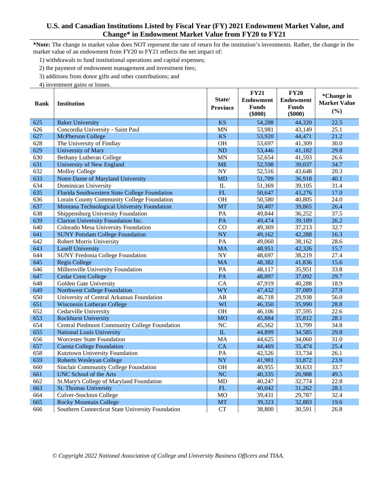**\*Note:** The change in market value does NOT represent the rate of return for the institution's investments. Rather, the change in the market value of an endowment from FY20 to FY21 reflects the net impact of:

1) withdrawals to fund institutional operations and capital expenses;

2) the payment of endowment management and investment fees;

3) additions from donor gifts and other contributions; and

|      |                                                  |                        | <b>FY21</b>      | <b>FY20</b>      | *Change in          |
|------|--------------------------------------------------|------------------------|------------------|------------------|---------------------|
| Rank | <b>Institution</b>                               | State/                 | <b>Endowment</b> | <b>Endowment</b> | <b>Market Value</b> |
|      |                                                  | <b>Province</b>        | <b>Funds</b>     | <b>Funds</b>     | (%)                 |
|      |                                                  |                        | $(\$000)$        | $(\$000)$        |                     |
| 625  | <b>Baker University</b>                          | <b>KS</b>              | 54,288           | 44,320           | 22.5                |
| 626  | Concordia University - Saint Paul                | <b>MN</b>              | 53,981           | 43,149           | 25.1                |
| 627  | <b>McPherson College</b>                         | <b>KS</b>              | 53,920           | 44,471           | 21.2                |
| 628  | The University of Findlay                        | OH                     | 53,697           | 41,309           | 30.0                |
| 629  | University of Mary                               | <b>ND</b>              | 53,446           | 41,182           | 29.8                |
| 630  | <b>Bethany Lutheran College</b>                  | <b>MN</b>              | 52,654           | 41,593           | 26.6                |
| 631  | University of New England                        | <b>ME</b>              | 52,598           | 39,037           | 34.7                |
| 632  | <b>Molloy College</b>                            | <b>NY</b>              | 52,516           | 43,648           | 20.3                |
| 633  | Notre Dame of Maryland University                | <b>MD</b>              | 51,709           | 36,918           | 40.1                |
| 634  | Dominican University                             | $\mathop{\mathrm{IL}}$ | 51,369           | 39,105           | 31.4                |
| 635  | Florida Southwestern State College Foundation    | FL                     | 50,647           | 43,276           | 17.0                |
| 636  | Lorain County Community College Foundation       | OH                     | 50,580           | 40,805           | 24.0                |
| 637  | Montana Technological University Foundation      | <b>MT</b>              | 50,407           | 39,865           | 26.4                |
| 638  | Shippensburg University Foundation               | PA                     | 49,844           | 36,252           | 37.5                |
| 639  | Clarion University Foundation Inc.               | PA                     | 49,474           | 39,189           | 26.2                |
| 640  | Colorado Mesa University Foundation              | CO                     | 49,369           | 37,213           | 32.7                |
| 641  | <b>SUNY Potsdam College Foundation</b>           | NY                     | 49,162           | 42,288           | 16.3                |
| 642  | <b>Robert Morris University</b>                  | PA                     | 49,060           | 38,162           | 28.6                |
| 643  | <b>Lasell University</b>                         | <b>MA</b>              | 48,951           | 42,326           | 15.7                |
| 644  | <b>SUNY Fredonia College Foundation</b>          | <b>NY</b>              | 48,697           | 38,219           | 27.4                |
| 645  | <b>Regis College</b>                             | <b>MA</b>              | 48,382           | 41,836           | 15.6                |
| 646  | Millersville University Foundation               | PA                     | 48,117           | 35,951           | 33.8                |
| 647  | <b>Cedar Crest College</b>                       | PA                     | 48,097           | 37,092           | 29.7                |
| 648  | Golden Gate University                           | CA                     | 47,919           | 40,288           | 18.9                |
| 649  | <b>Northwest College Foundation</b>              | WY                     | 47,432           | 37,089           | 27.9                |
| 650  | University of Central Arkansas Foundation        | <b>AR</b>              | 46,718           | 29,938           | 56.0                |
| 651  | <b>Wisconsin Lutheran College</b>                | WI                     | 46,350           | 35,990           | 28.8                |
| 652  | Cedarville University                            | <b>OH</b>              | 46,106           | 37,595           | 22.6                |
| 653  | <b>Rockhurst University</b>                      | <b>MO</b>              | 45,884           | 35,812           | 28.1                |
| 654  | Central Piedmont Community College Foundation    | NC                     | 45,562           | 33,799           | 34.8                |
| 655  | <b>National Louis University</b>                 | ${\rm IL}$             | 44,899           | 34,585           | 29.8                |
| 656  | <b>Worcester State Foundation</b>                | <b>MA</b>              | 44,625           | 34,060           | 31.0                |
| 657  | <b>Cuesta College Foundation</b>                 | CA                     | 44,469           | 35,474           | 25.4                |
| 658  | Kutztown University Foundation                   | PA                     | 42,526           | 33,734           | 26.1                |
| 659  | <b>Roberts Wesleyan College</b>                  | <b>NY</b>              | 41,981           | 33,872           | 23.9                |
| 660  | Sinclair Community College Foundation            | <b>OH</b>              | 40,955           | 30,633           | 33.7                |
| 661  | <b>UNC School of the Arts</b>                    | <b>NC</b>              | 40,335           | 26,988           | 49.5                |
| 662  | St.Mary's College of Maryland Foundation         | MD                     | 40,247           | 32,774           | 22.8                |
| 663  | St. Thomas University                            | ${\rm FL}$             | 40,042           | 31,262           | 28.1                |
| 664  | <b>Culver-Stockton College</b>                   | <b>MO</b>              | 39,431           | 29,787           | 32.4                |
| 665  | <b>Rocky Mountain College</b>                    | <b>MT</b>              | 39,323           | 32,883           | 19.6                |
| 666  | Southern Connecticut State University Foundation | ${\cal C}{\cal T}$     | 38,800           | 30,591           | 26.8                |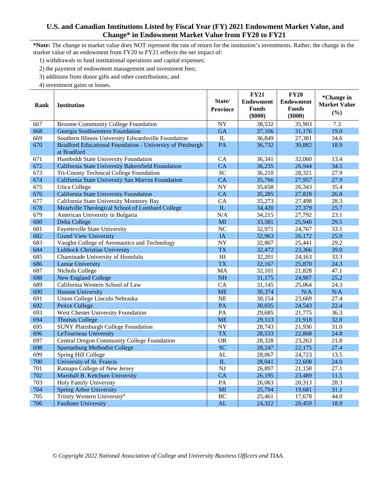**\*Note:** The change in market value does NOT represent the rate of return for the institution's investments. Rather, the change in the market value of an endowment from FY20 to FY21 reflects the net impact of:

1) withdrawals to fund institutional operations and capital expenses;

2) the payment of endowment management and investment fees;

3) additions from donor gifts and other contributions; and

|      |                                                                           | State/          | <b>FY21</b>                      | <b>FY20</b>                      | *Change in          |
|------|---------------------------------------------------------------------------|-----------------|----------------------------------|----------------------------------|---------------------|
| Rank | <b>Institution</b>                                                        | <b>Province</b> | <b>Endowment</b><br><b>Funds</b> | <b>Endowment</b><br><b>Funds</b> | <b>Market Value</b> |
|      |                                                                           |                 | $(\$000)$                        | $(\$000)$                        | (%)                 |
| 667  | <b>Broome Community College Foundation</b>                                | <b>NY</b>       | 38,532                           | 35,903                           | 7.3                 |
| 668  | Georgia Southwestern Foundation                                           | <b>GA</b>       | 37,106                           | 31,176                           | 19.0                |
| 669  | Southern Illinois University Edwardsville Foundation                      | IL              | 36,849                           | 27,381                           | 34.6                |
| 670  | Bradford Educational Foundation - University of Pittsburgh<br>at Bradford | PA              | 36,732                           | 30,882                           | 18.9                |
| 671  | Humboldt State University Foundation                                      | CA              | 36,341                           | 32,060                           | 13.4                |
| 672  | California State University Bakersfield Foundation                        | <b>CA</b>       | 36,235                           | 26,944                           | 34.5                |
| 673  | Tri-County Technical College Foundation                                   | <b>SC</b>       | 36,210                           | 28,321                           | 27.9                |
| 674  | California State University San Marcos Foundation                         | CA              | 35,766                           | 27,957                           | 27.9                |
| 675  | <b>Utica College</b>                                                      | <b>NY</b>       | 35,658                           | 26,343                           | 35.4                |
| 676  | California State University Foundation                                    | CA              | 35,285                           | 27,828                           | 26.8                |
| 677  | California State University Monterey Bay                                  | CA              | 35,273                           | 27,498                           | 28.3                |
| 678  | Meadville Theological School of Lombard College                           | ${\rm IL}$      | 34,420                           | 27,379                           | 25.7                |
| 679  | American University in Bulgaria                                           | N/A             | 34,215                           | 27,792                           | 23.1                |
| 680  | Delta College                                                             | MI              | 33,581                           | 25,940                           | 29.5                |
| 681  | Fayetteville State University                                             | NC              | 32,971                           | 24,767                           | 33.1                |
| 682  | <b>Grand View University</b>                                              | IA              | 32,963                           | 26,172                           | 25.9                |
| 683  | Vaughn College of Aeronautics and Technology                              | <b>NY</b>       | 32,867                           | 25,441                           | 29.2                |
| 684  | <b>Lubbock Christian University</b>                                       | <b>TX</b>       | 32,472                           | 23,366                           | 39.0                |
| 685  | Chaminade University of Honolulu                                          | H1              | 32,201                           | 24,163                           | 33.3                |
| 686  | <b>Lamar University</b>                                                   | <b>TX</b>       | 32,167                           | 25,870                           | 24.3                |
| 687  | Nichols College                                                           | MA              | 32,101                           | 21,828                           | 47.1                |
| 688  | New England College                                                       | <b>NH</b>       | 31,175                           | 24,907                           | 25.2                |
| 689  | California Western School of Law                                          | CA              | 31,145                           | 25,064                           | 24.3                |
| 690  | <b>Husson University</b>                                                  | <b>ME</b>       | 30,374                           | N/A                              | N/A                 |
| 691  | Union College Lincoln Nebraska                                            | <b>NE</b>       | 30,154                           | 23,669                           | 27.4                |
| 692  | Peirce College                                                            | PA              | 30,035                           | 24,543                           | 22.4                |
| 693  | West Chester University Foundation                                        | PA              | 29,685                           | 21,775                           | 36.3                |
| 694  | <b>Thomas College</b>                                                     | <b>ME</b>       | 29,113                           | 21,918                           | 32.8                |
| 695  | <b>SUNY Plattsburgh College Foundation</b>                                | <b>NY</b>       | 28,743                           | 21,936                           | 31.0                |
| 696  | LeTourneau University                                                     | <b>TX</b>       | 28,533                           | 22,868                           | 24.8                |
| 697  | Central Oregon Community College Foundation                               | <b>OR</b>       | 28,328                           | 23,263                           | 21.8                |
| 698  | <b>Spartanburg Methodist College</b>                                      | <b>SC</b>       | 28,247                           | 22,175                           | 27.4                |
| 699  | Spring Hill College                                                       | AL              | 28,067                           | 24,723                           | 13.5                |
| 700  | University of St. Francis                                                 | IL              | 28,041                           | 22,608                           | 24.0                |
| 701  | Ramapo College of New Jersey                                              | <b>NJ</b>       | 26,897                           | 21,158                           | 27.1                |
| 702  | Marshall B. Ketchum University                                            | CA              | 26,195                           | 23,489                           | 11.5                |
| 703  | Holy Family University                                                    | PA              | 26,063                           | 20,313                           | 28.3                |
| 704  | <b>Spring Arbor University</b>                                            | MI              | 25,794                           | 19,681                           | 31.1                |
| 705  | Trinity Western University#                                               | <b>BC</b>       | 25,461                           | 17,678                           | 44.0                |
| 706  | <b>Faulkner University</b>                                                | AL              | 24,322                           | 20,459                           | 18.9                |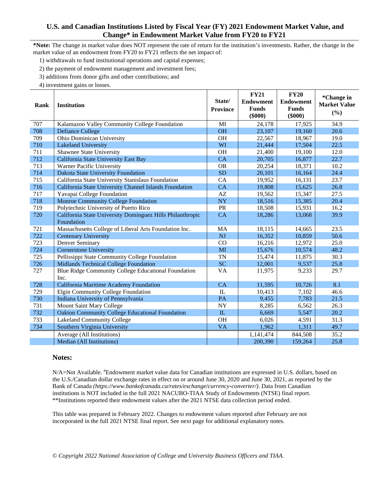**\*Note:** The change in market value does NOT represent the rate of return for the institution's investments. Rather, the change in the market value of an endowment from FY20 to FY21 reflects the net impact of:

1) withdrawals to fund institutional operations and capital expenses;

2) the payment of endowment management and investment fees;

3) additions from donor gifts and other contributions; and

4) investment gains or losses.

| Rank | <b>Institution</b>                                        | State/<br><b>Province</b> | <b>FY21</b><br><b>Endowment</b><br><b>Funds</b><br>$(\$000)$ | <b>FY20</b><br><b>Endowment</b><br><b>Funds</b><br>$(\$000)$ | *Change in<br><b>Market Value</b><br>(%) |
|------|-----------------------------------------------------------|---------------------------|--------------------------------------------------------------|--------------------------------------------------------------|------------------------------------------|
| 707  | Kalamazoo Valley Community College Foundation             | MI                        | 24,178                                                       | 17,925                                                       | 34.9                                     |
| 708  | <b>Defiance College</b>                                   | <b>OH</b>                 | 23,107                                                       | 19,160                                                       | 20.6                                     |
| 709  | Ohio Dominican University                                 | <b>OH</b>                 | 22,567                                                       | 18,967                                                       | 19.0                                     |
| 710  | <b>Lakeland University</b>                                | WI                        | 21,444                                                       | 17,504                                                       | 22.5                                     |
| 711  | Shawnee State University                                  | <b>OH</b>                 | 21,400                                                       | 19,100                                                       | 12.0                                     |
| 712  | California State University East Bay                      | CA                        | 20,705                                                       | 16,877                                                       | 22.7                                     |
| 713  | Warner Pacific University                                 | <b>OR</b>                 | 20,254                                                       | 18,371                                                       | 10.2                                     |
| 714  | Dakota State University Foundation                        | <b>SD</b>                 | 20,101                                                       | 16,164                                                       | 24.4                                     |
| 715  | California State University Stanislaus Foundation         | CA                        | 19,952                                                       | 16,131                                                       | 23.7                                     |
| 716  | California State University Channel Islands Foundation    | CA                        | 19,808                                                       | 15,625                                                       | 26.8                                     |
| 717  | Yavapai College Foundation                                | $\mathbf{A}\mathbf{Z}$    | 19,562                                                       | 15,347                                                       | 27.5                                     |
| 718  | <b>Monroe Community College Foundation</b>                | <b>NY</b>                 | 18,516                                                       | 15,385                                                       | 20.4                                     |
| 719  | Polytechnic University of Puerto Rico                     | PR                        | 18,508                                                       | 15,931                                                       | 16.2                                     |
| 720  | California State University Dominguez Hills Philanthropic | <b>CA</b>                 | 18,286                                                       | 13,068                                                       | 39.9                                     |
|      | Foundation                                                |                           |                                                              |                                                              |                                          |
| 721  | Massachusetts College of Liberal Arts Foundation Inc.     | MA                        | 18,115                                                       | 14,665                                                       | 23.5                                     |
| 722  | <b>Centenary University</b>                               | <b>NJ</b>                 | 16,352                                                       | 10,859                                                       | 50.6                                     |
| 723  | Denver Seminary                                           | CO                        | 16,216                                                       | 12,972                                                       | 25.0                                     |
| 724  | <b>Cornerstone University</b>                             | MI                        | 15,676                                                       | 10,574                                                       | 48.2                                     |
| 725  | Pellissippi State Community College Foundation            | <b>TN</b>                 | 15,474                                                       | 11,875                                                       | 30.3                                     |
| 726  | <b>Midlands Technical College Foundation</b>              | <b>SC</b>                 | 12,001                                                       | 9,537                                                        | 25.8                                     |
| 727  | Blue Ridge Community College Educational Foundation       | VA                        | 11,975                                                       | 9,233                                                        | 29.7                                     |
|      | Inc.                                                      |                           |                                                              |                                                              |                                          |
| 728  | California Maritime Academy Foundation                    | <b>CA</b>                 | 11,595                                                       | 10,726                                                       | 8.1                                      |
| 729  | Elgin Community College Foundation                        | IL                        | 10,413                                                       | 7,102                                                        | 46.6                                     |
| 730  | Indiana University of Pennsylvania                        | PA                        | 9,455                                                        | 7,783                                                        | 21.5                                     |
| 731  | Mount Saint Mary College                                  | NY                        | 8,285                                                        | 6,562                                                        | 26.3                                     |
| 732  | <b>Oakton Community College Educational Foundation</b>    | IL                        | 6,669                                                        | 5,547                                                        | 20.2                                     |
| 733  | <b>Lakeland Community College</b>                         | <b>OH</b>                 | 6,026                                                        | 4,591                                                        | 31.3                                     |
| 734  | Southern Virginia University                              | <b>VA</b>                 | 1,962                                                        | 1,311                                                        | 49.7                                     |
|      | Average (All Institutions)                                |                           | 1,141,474                                                    | 844,508                                                      | 35.2                                     |
|      | Median (All Institutions)                                 |                           | 200,390                                                      | 159,264                                                      | 25.8                                     |

#### **Notes:**

N/A=Not Available. <sup>#</sup>Endowment market value data for Canadian institutions are expressed in U.S. dollars, based on the U.S./Canadian dollar exchange rates in effect on or around June 30, 2020 and June 30, 2021, as reported by the Bank of Canada *(https://www.bankofcanada.ca/rates/exchange/currency-converter/)*. Data from Canadian institutions is NOT included in the full 2021 NACUBO-TIAA Study of Endowments (NTSE) final report. \*\*Institutions reported their endowment values after the 2021 NTSE data collection period ended.

This table was prepared in February 2022. Changes to endowment values reported after February are not incorporated in the full 2021 NTSE final report. See next page for additional explanatory notes.